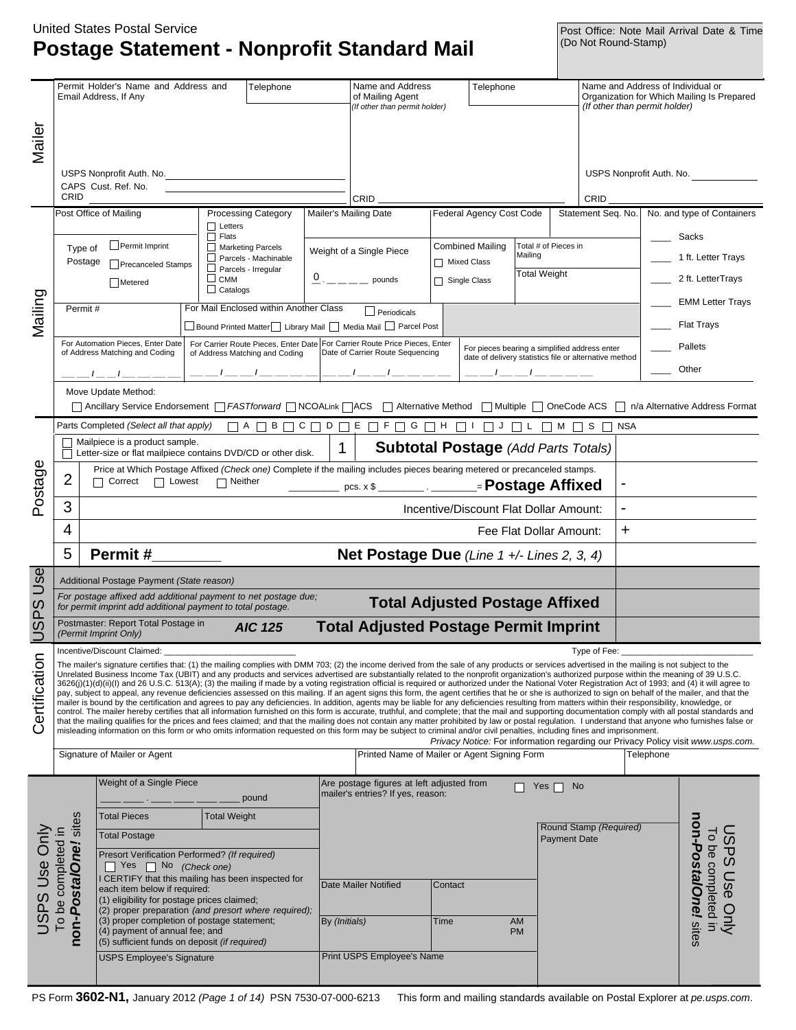### **Postage Statement - Nonprofit Standard Mail** United States Postal Service

Post Office: Note Mail Arrival Date & Time<br>(Do Not Round-Stamp)

|                                                                                                                                                                                                                                                                                                                                                                                                                                                                                                                                                                                                                                                                                                                                                                                                                                                                                                                                                                                                                                                                                                                                                                                                                                                                                                                                                                                                                                                                                                                                                                                                                                                                                        |                      | Permit Holder's Name and Address and<br>Email Address, If Any                                                                                         |                                | Telephone                                 |               | Name and Address<br>of Mailing Agent<br>(If other than permit holder)                                          |                                 | Telephone                                                            |                                                                                  |                                               |                    | Name and Address of Individual or<br>(If other than permit holder) | Organization for Which Mailing Is Prepared |
|----------------------------------------------------------------------------------------------------------------------------------------------------------------------------------------------------------------------------------------------------------------------------------------------------------------------------------------------------------------------------------------------------------------------------------------------------------------------------------------------------------------------------------------------------------------------------------------------------------------------------------------------------------------------------------------------------------------------------------------------------------------------------------------------------------------------------------------------------------------------------------------------------------------------------------------------------------------------------------------------------------------------------------------------------------------------------------------------------------------------------------------------------------------------------------------------------------------------------------------------------------------------------------------------------------------------------------------------------------------------------------------------------------------------------------------------------------------------------------------------------------------------------------------------------------------------------------------------------------------------------------------------------------------------------------------|----------------------|-------------------------------------------------------------------------------------------------------------------------------------------------------|--------------------------------|-------------------------------------------|---------------|----------------------------------------------------------------------------------------------------------------|---------------------------------|----------------------------------------------------------------------|----------------------------------------------------------------------------------|-----------------------------------------------|--------------------|--------------------------------------------------------------------|--------------------------------------------|
| Mailer                                                                                                                                                                                                                                                                                                                                                                                                                                                                                                                                                                                                                                                                                                                                                                                                                                                                                                                                                                                                                                                                                                                                                                                                                                                                                                                                                                                                                                                                                                                                                                                                                                                                                 |                      |                                                                                                                                                       |                                |                                           |               |                                                                                                                |                                 |                                                                      |                                                                                  |                                               |                    |                                                                    |                                            |
|                                                                                                                                                                                                                                                                                                                                                                                                                                                                                                                                                                                                                                                                                                                                                                                                                                                                                                                                                                                                                                                                                                                                                                                                                                                                                                                                                                                                                                                                                                                                                                                                                                                                                        |                      | USPS Nonprofit Auth. No.<br>CAPS Cust. Ref. No.                                                                                                       |                                |                                           |               |                                                                                                                |                                 |                                                                      |                                                                                  |                                               |                    | USPS Nonprofit Auth. No.                                           |                                            |
|                                                                                                                                                                                                                                                                                                                                                                                                                                                                                                                                                                                                                                                                                                                                                                                                                                                                                                                                                                                                                                                                                                                                                                                                                                                                                                                                                                                                                                                                                                                                                                                                                                                                                        | CRID                 |                                                                                                                                                       |                                |                                           |               | CRID                                                                                                           |                                 |                                                                      |                                                                                  |                                               | <b>CRID</b>        |                                                                    |                                            |
|                                                                                                                                                                                                                                                                                                                                                                                                                                                                                                                                                                                                                                                                                                                                                                                                                                                                                                                                                                                                                                                                                                                                                                                                                                                                                                                                                                                                                                                                                                                                                                                                                                                                                        |                      | Post Office of Mailing                                                                                                                                |                                | <b>Processing Category</b>                |               | Mailer's Mailing Date                                                                                          |                                 | Federal Agency Cost Code                                             |                                                                                  |                                               | Statement Seq. No. |                                                                    | No. and type of Containers                 |
|                                                                                                                                                                                                                                                                                                                                                                                                                                                                                                                                                                                                                                                                                                                                                                                                                                                                                                                                                                                                                                                                                                                                                                                                                                                                                                                                                                                                                                                                                                                                                                                                                                                                                        |                      |                                                                                                                                                       | $\Box$ Letters<br>$\Box$ Flats |                                           |               |                                                                                                                |                                 |                                                                      |                                                                                  |                                               |                    |                                                                    |                                            |
|                                                                                                                                                                                                                                                                                                                                                                                                                                                                                                                                                                                                                                                                                                                                                                                                                                                                                                                                                                                                                                                                                                                                                                                                                                                                                                                                                                                                                                                                                                                                                                                                                                                                                        | Type of              | Permit Imprint                                                                                                                                        |                                | Marketing Parcels<br>Parcels - Machinable |               | Weight of a Single Piece                                                                                       |                                 | Combined Mailing                                                     | Total # of Pieces in<br>Mailing                                                  |                                               |                    |                                                                    | Sacks<br>1 ft. Letter Trays                |
|                                                                                                                                                                                                                                                                                                                                                                                                                                                                                                                                                                                                                                                                                                                                                                                                                                                                                                                                                                                                                                                                                                                                                                                                                                                                                                                                                                                                                                                                                                                                                                                                                                                                                        | Postage              | <b>Precanceled Stamps</b><br>Metered                                                                                                                  | $\Box$ CMM                     | $\Box$ Parcels - Irregular                |               | 0 pounds                                                                                                       | □ Mixed Class<br>□ Single Class |                                                                      | <b>Total Weight</b>                                                              |                                               |                    |                                                                    | 2 ft. LetterTrays                          |
|                                                                                                                                                                                                                                                                                                                                                                                                                                                                                                                                                                                                                                                                                                                                                                                                                                                                                                                                                                                                                                                                                                                                                                                                                                                                                                                                                                                                                                                                                                                                                                                                                                                                                        |                      |                                                                                                                                                       | $\Box$ Catalogs                |                                           |               |                                                                                                                |                                 |                                                                      |                                                                                  |                                               |                    |                                                                    | <b>EMM Letter Trays</b>                    |
| Mailing                                                                                                                                                                                                                                                                                                                                                                                                                                                                                                                                                                                                                                                                                                                                                                                                                                                                                                                                                                                                                                                                                                                                                                                                                                                                                                                                                                                                                                                                                                                                                                                                                                                                                | Permit#              |                                                                                                                                                       |                                | For Mail Enclosed within Another Class    |               | $\Box$ Periodicals<br>□ Bound Printed Matter □ Library Mail □ Media Mail □ Parcel Post                         |                                 |                                                                      |                                                                                  |                                               |                    |                                                                    | <b>Flat Trays</b>                          |
|                                                                                                                                                                                                                                                                                                                                                                                                                                                                                                                                                                                                                                                                                                                                                                                                                                                                                                                                                                                                                                                                                                                                                                                                                                                                                                                                                                                                                                                                                                                                                                                                                                                                                        |                      | For Automation Pieces, Enter Date<br>of Address Matching and Coding                                                                                   |                                | of Address Matching and Coding            |               | For Carrier Route Pieces, Enter Date For Carrier Route Price Pieces, Enter<br>Date of Carrier Route Sequencing |                                 | For pieces bearing a simplified address enter                        |                                                                                  |                                               |                    |                                                                    | Pallets                                    |
|                                                                                                                                                                                                                                                                                                                                                                                                                                                                                                                                                                                                                                                                                                                                                                                                                                                                                                                                                                                                                                                                                                                                                                                                                                                                                                                                                                                                                                                                                                                                                                                                                                                                                        |                      |                                                                                                                                                       |                                |                                           |               |                                                                                                                |                                 | date of delivery statistics file or alternative method<br>$- - - --$ |                                                                                  |                                               |                    |                                                                    | Other                                      |
|                                                                                                                                                                                                                                                                                                                                                                                                                                                                                                                                                                                                                                                                                                                                                                                                                                                                                                                                                                                                                                                                                                                                                                                                                                                                                                                                                                                                                                                                                                                                                                                                                                                                                        |                      | Move Update Method:                                                                                                                                   |                                |                                           |               |                                                                                                                |                                 |                                                                      |                                                                                  |                                               |                    |                                                                    |                                            |
|                                                                                                                                                                                                                                                                                                                                                                                                                                                                                                                                                                                                                                                                                                                                                                                                                                                                                                                                                                                                                                                                                                                                                                                                                                                                                                                                                                                                                                                                                                                                                                                                                                                                                        |                      | Ancillary Service Endorsement   FASTforward   NCOALink   ACS   Alternative Method   Multiple   OneCode ACS   n/a Alternative Address Format           |                                |                                           |               |                                                                                                                |                                 |                                                                      |                                                                                  |                                               |                    |                                                                    |                                            |
|                                                                                                                                                                                                                                                                                                                                                                                                                                                                                                                                                                                                                                                                                                                                                                                                                                                                                                                                                                                                                                                                                                                                                                                                                                                                                                                                                                                                                                                                                                                                                                                                                                                                                        |                      | Parts Completed (Select all that apply)                                                                                                               |                                |                                           |               |                                                                                                                |                                 |                                                                      |                                                                                  |                                               |                    | NSA                                                                |                                            |
|                                                                                                                                                                                                                                                                                                                                                                                                                                                                                                                                                                                                                                                                                                                                                                                                                                                                                                                                                                                                                                                                                                                                                                                                                                                                                                                                                                                                                                                                                                                                                                                                                                                                                        |                      | Mailpiece is a product sample.<br>Letter-size or flat mailpiece contains DVD/CD or other disk.                                                        |                                |                                           | 1             | <b>Subtotal Postage (Add Parts Totals)</b>                                                                     |                                 |                                                                      |                                                                                  |                                               |                    |                                                                    |                                            |
| Postage                                                                                                                                                                                                                                                                                                                                                                                                                                                                                                                                                                                                                                                                                                                                                                                                                                                                                                                                                                                                                                                                                                                                                                                                                                                                                                                                                                                                                                                                                                                                                                                                                                                                                | 2                    | Price at Which Postage Affixed (Check one) Complete if the mailing includes pieces bearing metered or precanceled stamps.<br>Correct<br><b>Lowest</b> | $\Box$ Neither                 |                                           |               | $pos. x $$ __________ _______ = Postage Affixed                                                                |                                 |                                                                      |                                                                                  |                                               |                    |                                                                    |                                            |
|                                                                                                                                                                                                                                                                                                                                                                                                                                                                                                                                                                                                                                                                                                                                                                                                                                                                                                                                                                                                                                                                                                                                                                                                                                                                                                                                                                                                                                                                                                                                                                                                                                                                                        | 3                    |                                                                                                                                                       |                                |                                           |               |                                                                                                                |                                 | Incentive/Discount Flat Dollar Amount:                               |                                                                                  |                                               |                    |                                                                    |                                            |
|                                                                                                                                                                                                                                                                                                                                                                                                                                                                                                                                                                                                                                                                                                                                                                                                                                                                                                                                                                                                                                                                                                                                                                                                                                                                                                                                                                                                                                                                                                                                                                                                                                                                                        | 4                    |                                                                                                                                                       |                                |                                           |               |                                                                                                                |                                 |                                                                      | Fee Flat Dollar Amount:                                                          |                                               |                    | $\ddot{}$                                                          |                                            |
|                                                                                                                                                                                                                                                                                                                                                                                                                                                                                                                                                                                                                                                                                                                                                                                                                                                                                                                                                                                                                                                                                                                                                                                                                                                                                                                                                                                                                                                                                                                                                                                                                                                                                        | 5                    | Permit#                                                                                                                                               |                                |                                           |               | Net Postage Due (Line $1 +$ /- Lines 2, 3, 4)                                                                  |                                 |                                                                      |                                                                                  |                                               |                    |                                                                    |                                            |
| Usel                                                                                                                                                                                                                                                                                                                                                                                                                                                                                                                                                                                                                                                                                                                                                                                                                                                                                                                                                                                                                                                                                                                                                                                                                                                                                                                                                                                                                                                                                                                                                                                                                                                                                   |                      | Additional Postage Payment (State reason)                                                                                                             |                                |                                           |               |                                                                                                                |                                 |                                                                      |                                                                                  |                                               |                    |                                                                    |                                            |
| ၯ<br>௳                                                                                                                                                                                                                                                                                                                                                                                                                                                                                                                                                                                                                                                                                                                                                                                                                                                                                                                                                                                                                                                                                                                                                                                                                                                                                                                                                                                                                                                                                                                                                                                                                                                                                 |                      | For postage affixed add additional payment to net postage due;<br>for permit imprint add additional payment to total postage.                         |                                |                                           |               | <b>Total Adjusted Postage Affixed</b>                                                                          |                                 |                                                                      |                                                                                  |                                               |                    |                                                                    |                                            |
| $\overline{\sigma}$                                                                                                                                                                                                                                                                                                                                                                                                                                                                                                                                                                                                                                                                                                                                                                                                                                                                                                                                                                                                                                                                                                                                                                                                                                                                                                                                                                                                                                                                                                                                                                                                                                                                    |                      | Postmaster: Report Total Postage in<br>(Permit Imprint Only)                                                                                          |                                | <b>AIC 125</b>                            |               | <b>Total Adjusted Postage Permit Imprint</b>                                                                   |                                 |                                                                      |                                                                                  |                                               |                    |                                                                    |                                            |
|                                                                                                                                                                                                                                                                                                                                                                                                                                                                                                                                                                                                                                                                                                                                                                                                                                                                                                                                                                                                                                                                                                                                                                                                                                                                                                                                                                                                                                                                                                                                                                                                                                                                                        |                      |                                                                                                                                                       |                                |                                           |               |                                                                                                                |                                 |                                                                      |                                                                                  |                                               |                    |                                                                    |                                            |
| Incentive/Discount Claimed:<br>Type of Fee:<br>Certification<br>The mailer's signature certifies that: (1) the mailing complies with DMM 703; (2) the income derived from the sale of any products or services advertised in the mailing is not subject to the<br>Unrelated Business Income Tax (UBIT) and any products and services advertised are substantially related to the nonprofit organization's authorized purpose within the meaning of 39 U.S.C.<br>3626(j)(1)(d)(ii)(l) and 26 U.S.C. 513(A); (3) the mailing if made by a voting registration official is required or authorized under the National Voter Registration Act of 1993; and (4) it will agree to<br>pay, subject to appeal, any revenue deficiencies assessed on this mailing. If an agent signs this form, the agent certifies that he or she is authorized to sign on behalf of the mailer, and that the<br>mailer is bound by the certification and agrees to pay any deficiencies. In addition, agents may be liable for any deficiencies resulting from matters within their responsibility, knowledge, or<br>control. The mailer hereby certifies that all information furnished on this form is accurate, truthful, and complete; that the mail and supporting documentation comply with all postal standards and<br>that the mailing qualifies for the prices and fees claimed; and that the mailing does not contain any matter prohibited by law or postal regulation. I understand that anyone who furnishes false or<br>misleading information on this form or who omits information requested on this form may be subject to criminal and/or civil penalties, including fines and imprisonment. |                      |                                                                                                                                                       |                                |                                           |               |                                                                                                                |                                 |                                                                      | Privacy Notice: For information regarding our Privacy Policy visit www.usps.com. |                                               |                    |                                                                    |                                            |
|                                                                                                                                                                                                                                                                                                                                                                                                                                                                                                                                                                                                                                                                                                                                                                                                                                                                                                                                                                                                                                                                                                                                                                                                                                                                                                                                                                                                                                                                                                                                                                                                                                                                                        |                      | Signature of Mailer or Agent                                                                                                                          |                                |                                           |               | Printed Name of Mailer or Agent Signing Form                                                                   |                                 |                                                                      |                                                                                  |                                               |                    | Telephone                                                          |                                            |
|                                                                                                                                                                                                                                                                                                                                                                                                                                                                                                                                                                                                                                                                                                                                                                                                                                                                                                                                                                                                                                                                                                                                                                                                                                                                                                                                                                                                                                                                                                                                                                                                                                                                                        |                      | Weight of a Single Piece                                                                                                                              |                                |                                           |               | Are postage figures at left adjusted from                                                                      |                                 |                                                                      | Yes                                                                              | <b>No</b>                                     |                    |                                                                    |                                            |
|                                                                                                                                                                                                                                                                                                                                                                                                                                                                                                                                                                                                                                                                                                                                                                                                                                                                                                                                                                                                                                                                                                                                                                                                                                                                                                                                                                                                                                                                                                                                                                                                                                                                                        |                      | <b>Total Pieces</b>                                                                                                                                   |                                | pound                                     |               | mailer's entries? If yes, reason:                                                                              |                                 |                                                                      |                                                                                  |                                               |                    |                                                                    |                                            |
|                                                                                                                                                                                                                                                                                                                                                                                                                                                                                                                                                                                                                                                                                                                                                                                                                                                                                                                                                                                                                                                                                                                                                                                                                                                                                                                                                                                                                                                                                                                                                                                                                                                                                        |                      | <b>Total Postage</b>                                                                                                                                  | <b>Total Weight</b>            |                                           |               |                                                                                                                |                                 |                                                                      |                                                                                  | Round Stamp (Required)<br><b>Payment Date</b> |                    |                                                                    | မ်<br>$\overline{\circ}$                   |
|                                                                                                                                                                                                                                                                                                                                                                                                                                                                                                                                                                                                                                                                                                                                                                                                                                                                                                                                                                                                                                                                                                                                                                                                                                                                                                                                                                                                                                                                                                                                                                                                                                                                                        |                      | Presort Verification Performed? (If required)                                                                                                         |                                |                                           |               |                                                                                                                |                                 |                                                                      |                                                                                  |                                               |                    |                                                                    | PS                                         |
|                                                                                                                                                                                                                                                                                                                                                                                                                                                                                                                                                                                                                                                                                                                                                                                                                                                                                                                                                                                                                                                                                                                                                                                                                                                                                                                                                                                                                                                                                                                                                                                                                                                                                        |                      | Yes No (Check one)<br>I CERTIFY that this mailing has been inspected for                                                                              |                                |                                           |               | Date Mailer Notified                                                                                           | Contact                         |                                                                      |                                                                                  |                                               |                    |                                                                    |                                            |
| USPS Use Only                                                                                                                                                                                                                                                                                                                                                                                                                                                                                                                                                                                                                                                                                                                                                                                                                                                                                                                                                                                                                                                                                                                                                                                                                                                                                                                                                                                                                                                                                                                                                                                                                                                                          | To be completed in   | each item below if required:<br>(1) eligibility for postage prices claimed;<br>(2) proper preparation (and presort where required);                   |                                |                                           |               |                                                                                                                |                                 |                                                                      |                                                                                  |                                               |                    |                                                                    | be completed in<br>Use Only                |
|                                                                                                                                                                                                                                                                                                                                                                                                                                                                                                                                                                                                                                                                                                                                                                                                                                                                                                                                                                                                                                                                                                                                                                                                                                                                                                                                                                                                                                                                                                                                                                                                                                                                                        | non-PostalOne! sites | (3) proper completion of postage statement;<br>(4) payment of annual fee; and<br>(5) sufficient funds on deposit (if required)                        |                                |                                           | By (Initials) |                                                                                                                | Time                            |                                                                      | AM<br><b>PM</b>                                                                  |                                               |                    |                                                                    | n <b>on-Pos<i>talOne!</i> sites</b>        |
|                                                                                                                                                                                                                                                                                                                                                                                                                                                                                                                                                                                                                                                                                                                                                                                                                                                                                                                                                                                                                                                                                                                                                                                                                                                                                                                                                                                                                                                                                                                                                                                                                                                                                        |                      | <b>USPS Employee's Signature</b>                                                                                                                      |                                |                                           |               | Print USPS Employee's Name                                                                                     |                                 |                                                                      |                                                                                  |                                               |                    |                                                                    |                                            |
|                                                                                                                                                                                                                                                                                                                                                                                                                                                                                                                                                                                                                                                                                                                                                                                                                                                                                                                                                                                                                                                                                                                                                                                                                                                                                                                                                                                                                                                                                                                                                                                                                                                                                        |                      |                                                                                                                                                       |                                |                                           |               |                                                                                                                |                                 |                                                                      |                                                                                  |                                               |                    |                                                                    |                                            |

PS Form **3602-N1,** January 2012 *(Page 1 of 14)* PSN 7530-07-000-6213 This form and mailing standards available on Postal Explorer at *pe.usps.com*.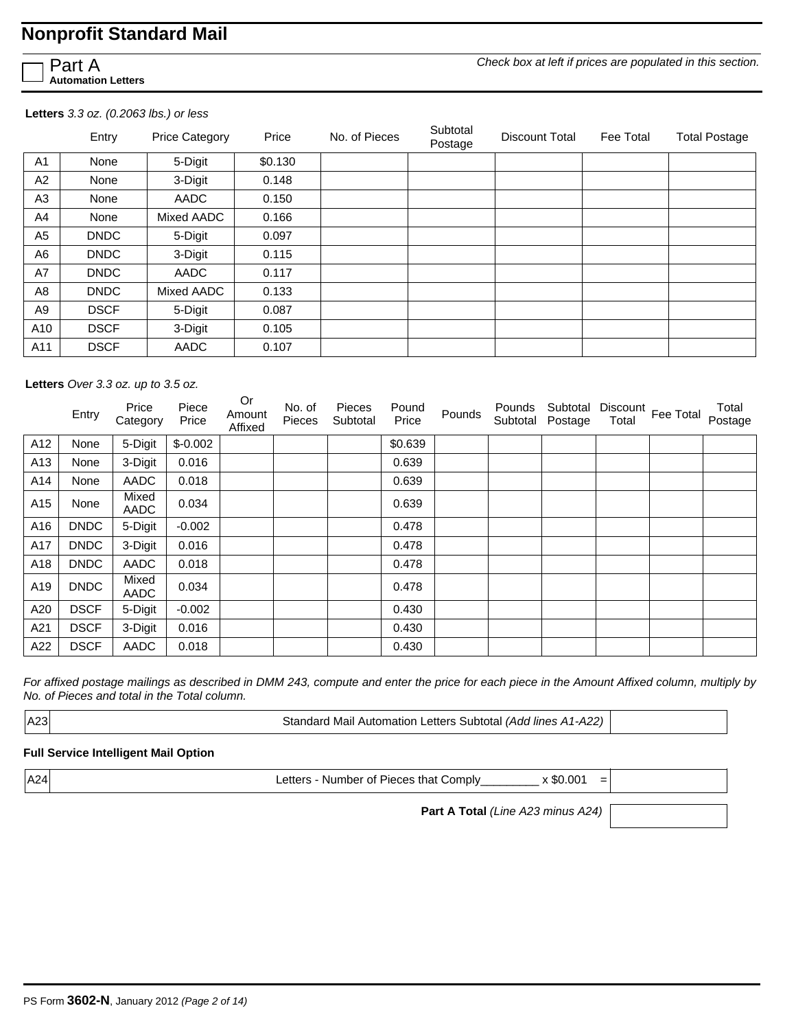Part A **Automation Letters** *Check box at left if prices are populated in this section.*

#### **Letters** *3.3 oz. (0.2063 lbs.) or less*

|                | Entry       | <b>Price Category</b> | Price   | No. of Pieces | Subtotal<br>Postage | Discount Total | Fee Total | <b>Total Postage</b> |
|----------------|-------------|-----------------------|---------|---------------|---------------------|----------------|-----------|----------------------|
| A <sub>1</sub> | None        | 5-Digit               | \$0.130 |               |                     |                |           |                      |
| A2             | None        | 3-Digit               | 0.148   |               |                     |                |           |                      |
| A3             | None        | AADC                  | 0.150   |               |                     |                |           |                      |
| A <sub>4</sub> | None        | Mixed AADC            | 0.166   |               |                     |                |           |                      |
| A <sub>5</sub> | <b>DNDC</b> | 5-Digit               | 0.097   |               |                     |                |           |                      |
| A <sub>6</sub> | <b>DNDC</b> | 3-Digit               | 0.115   |               |                     |                |           |                      |
| A7             | <b>DNDC</b> | AADC                  | 0.117   |               |                     |                |           |                      |
| A8             | <b>DNDC</b> | Mixed AADC            | 0.133   |               |                     |                |           |                      |
| A9             | <b>DSCF</b> | 5-Digit               | 0.087   |               |                     |                |           |                      |
| A10            | <b>DSCF</b> | 3-Digit               | 0.105   |               |                     |                |           |                      |
| A11            | <b>DSCF</b> | AADC                  | 0.107   |               |                     |                |           |                      |

**Letters** *Over 3.3 oz. up to 3.5 oz.*

|     | Entry       | Price<br>Category | Piece<br>Price | Or<br>Amount<br>Affixed | No. of<br>Pieces | Pieces<br>Subtotal | Pound<br>Price | Pounds | Pounds<br>Subtotal | Subtotal<br>Postage | Total | Discount Fee Total | Total<br>Postage |
|-----|-------------|-------------------|----------------|-------------------------|------------------|--------------------|----------------|--------|--------------------|---------------------|-------|--------------------|------------------|
| A12 | None        | 5-Digit           | $$-0.002$      |                         |                  |                    | \$0.639        |        |                    |                     |       |                    |                  |
| A13 | None        | 3-Digit           | 0.016          |                         |                  |                    | 0.639          |        |                    |                     |       |                    |                  |
| A14 | None        | <b>AADC</b>       | 0.018          |                         |                  |                    | 0.639          |        |                    |                     |       |                    |                  |
| A15 | None        | Mixed<br>AADC     | 0.034          |                         |                  |                    | 0.639          |        |                    |                     |       |                    |                  |
| A16 | <b>DNDC</b> | 5-Digit           | $-0.002$       |                         |                  |                    | 0.478          |        |                    |                     |       |                    |                  |
| A17 | <b>DNDC</b> | 3-Digit           | 0.016          |                         |                  |                    | 0.478          |        |                    |                     |       |                    |                  |
| A18 | <b>DNDC</b> | AADC              | 0.018          |                         |                  |                    | 0.478          |        |                    |                     |       |                    |                  |
| A19 | <b>DNDC</b> | Mixed<br>AADC     | 0.034          |                         |                  |                    | 0.478          |        |                    |                     |       |                    |                  |
| A20 | <b>DSCF</b> | 5-Digit           | $-0.002$       |                         |                  |                    | 0.430          |        |                    |                     |       |                    |                  |
| A21 | <b>DSCF</b> | 3-Digit           | 0.016          |                         |                  |                    | 0.430          |        |                    |                     |       |                    |                  |
| A22 | <b>DSCF</b> | AADC              | 0.018          |                         |                  |                    | 0.430          |        |                    |                     |       |                    |                  |

*For affixed postage mailings as described in DMM 243, compute and enter the price for each piece in the Amount Affixed column, multiply by No. of Pieces and total in the Total column.* 

A23 Standard Mail Automation Letters Subtotal *(Add lines A1-A22)*

#### **Full Service Intelligent Mail Option**

A24 **Letters - Number of Pieces that Comply\_\_\_\_\_\_\_\_\_ x \$0.001** =

**Part A Total** *(Line A23 minus A24)*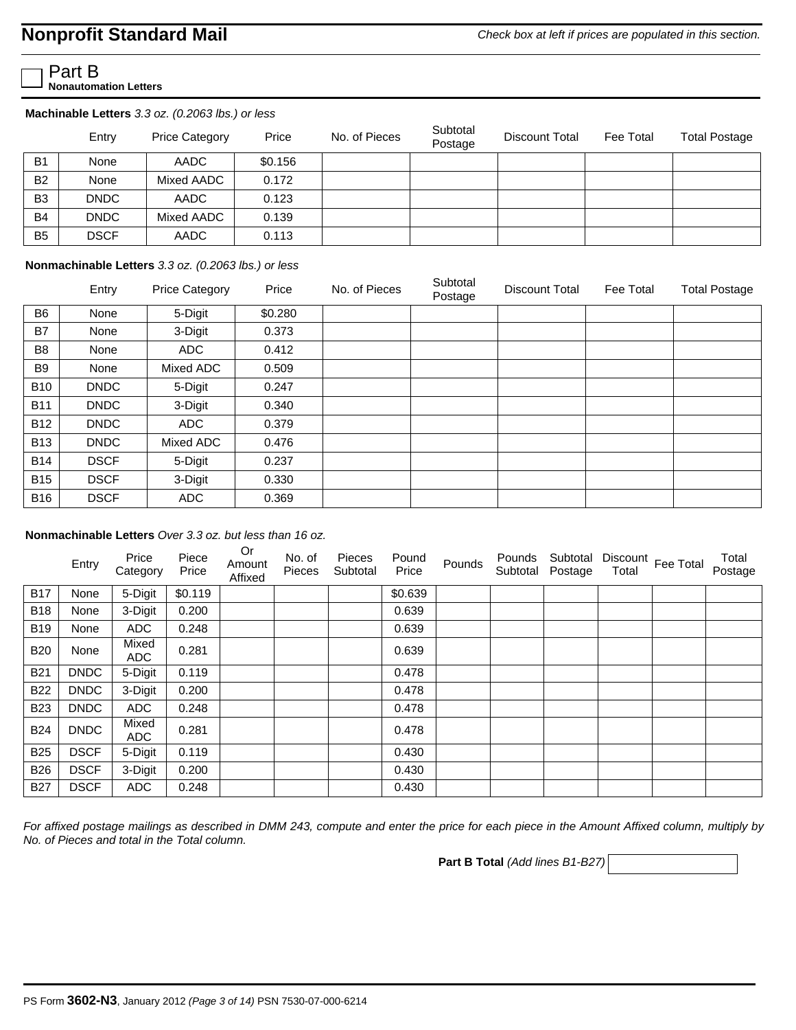*Check box at left if prices are populated in this section.*

Part B **Nonautomation Letters**

**Machinable Letters** *3.3 oz. (0.2063 lbs.) or less* 

|                | Entry       | <b>Price Category</b> | Price   | No. of Pieces | Subtotal<br>Postage | Discount Total | Fee Total | <b>Total Postage</b> |
|----------------|-------------|-----------------------|---------|---------------|---------------------|----------------|-----------|----------------------|
| <b>B1</b>      | None        | AADC                  | \$0.156 |               |                     |                |           |                      |
| <b>B2</b>      | None        | Mixed AADC            | 0.172   |               |                     |                |           |                      |
| B <sub>3</sub> | <b>DNDC</b> | AADC                  | 0.123   |               |                     |                |           |                      |
| <b>B4</b>      | <b>DNDC</b> | Mixed AADC            | 0.139   |               |                     |                |           |                      |
| <b>B5</b>      | <b>DSCF</b> | AADC                  | 0.113   |               |                     |                |           |                      |

#### **Nonmachinable Letters** *3.3 oz. (0.2063 lbs.) or less*

|                | Entry       | <b>Price Category</b> | Price   | No. of Pieces | Subtotal<br>Postage | Discount Total | Fee Total | <b>Total Postage</b> |
|----------------|-------------|-----------------------|---------|---------------|---------------------|----------------|-----------|----------------------|
| B <sub>6</sub> | None        | 5-Digit               | \$0.280 |               |                     |                |           |                      |
| B7             | None        | 3-Digit               | 0.373   |               |                     |                |           |                      |
| B <sub>8</sub> | None        | ADC                   | 0.412   |               |                     |                |           |                      |
| B <sub>9</sub> | None        | Mixed ADC             | 0.509   |               |                     |                |           |                      |
| <b>B10</b>     | <b>DNDC</b> | 5-Digit               | 0.247   |               |                     |                |           |                      |
| <b>B11</b>     | <b>DNDC</b> | 3-Digit               | 0.340   |               |                     |                |           |                      |
| <b>B12</b>     | <b>DNDC</b> | ADC                   | 0.379   |               |                     |                |           |                      |
| <b>B13</b>     | <b>DNDC</b> | Mixed ADC             | 0.476   |               |                     |                |           |                      |
| <b>B14</b>     | <b>DSCF</b> | 5-Digit               | 0.237   |               |                     |                |           |                      |
| <b>B15</b>     | <b>DSCF</b> | 3-Digit               | 0.330   |               |                     |                |           |                      |
| <b>B16</b>     | <b>DSCF</b> | <b>ADC</b>            | 0.369   |               |                     |                |           |                      |

#### **Nonmachinable Letters** *Over 3.3 oz. but less than 16 oz.*

| Entry       | Price<br>Category   | Piece<br>Price | <b>Or</b><br>Amount<br>Affixed | No. of<br>Pieces | Pieces<br>Subtotal | Pound<br>Price | Pounds | Pounds | Subtotal | Total            | Total<br>Postage   |
|-------------|---------------------|----------------|--------------------------------|------------------|--------------------|----------------|--------|--------|----------|------------------|--------------------|
| None        | 5-Digit             | \$0.119        |                                |                  |                    | \$0.639        |        |        |          |                  |                    |
| None        | 3-Digit             | 0.200          |                                |                  |                    | 0.639          |        |        |          |                  |                    |
| None        | <b>ADC</b>          | 0.248          |                                |                  |                    | 0.639          |        |        |          |                  |                    |
| None        | Mixed<br><b>ADC</b> | 0.281          |                                |                  |                    | 0.639          |        |        |          |                  |                    |
| <b>DNDC</b> | 5-Digit             | 0.119          |                                |                  |                    | 0.478          |        |        |          |                  |                    |
| <b>DNDC</b> | 3-Digit             | 0.200          |                                |                  |                    | 0.478          |        |        |          |                  |                    |
| <b>DNDC</b> | <b>ADC</b>          | 0.248          |                                |                  |                    | 0.478          |        |        |          |                  |                    |
| <b>DNDC</b> | Mixed<br><b>ADC</b> | 0.281          |                                |                  |                    | 0.478          |        |        |          |                  |                    |
| <b>DSCF</b> | 5-Digit             | 0.119          |                                |                  |                    | 0.430          |        |        |          |                  |                    |
| <b>DSCF</b> | 3-Digit             | 0.200          |                                |                  |                    | 0.430          |        |        |          |                  |                    |
| <b>DSCF</b> | <b>ADC</b>          | 0.248          |                                |                  |                    | 0.430          |        |        |          |                  |                    |
|             |                     |                |                                |                  |                    |                |        |        |          | Subtotal Postage | Discount Fee Total |

*For affixed postage mailings as described in DMM 243, compute and enter the price for each piece in the Amount Affixed column, multiply by No. of Pieces and total in the Total column.* 

**Part B Total** *(Add lines B1-B27)*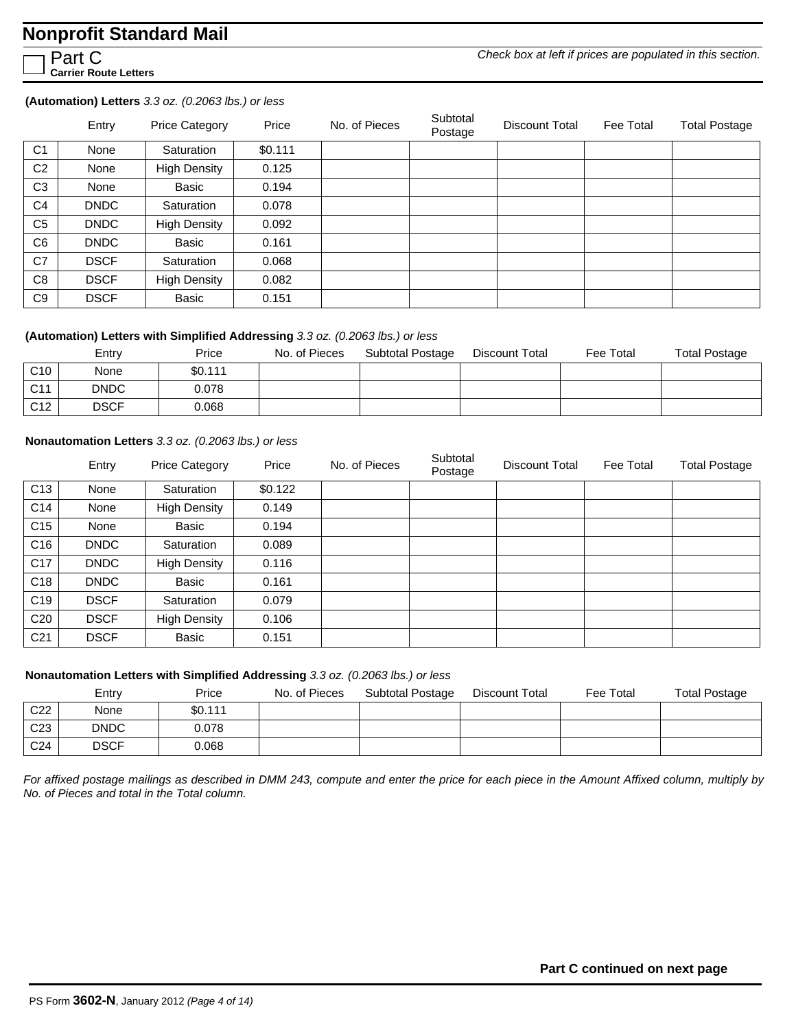Part C **Carrier Route Letters** *Check box at left if prices are populated in this section.*

#### **(Automation) Letters** *3.3 oz. (0.2063 lbs.) or less*

|                | Entry       | <b>Price Category</b> | Price   | No. of Pieces | Subtotal<br>Postage | Discount Total | Fee Total | <b>Total Postage</b> |
|----------------|-------------|-----------------------|---------|---------------|---------------------|----------------|-----------|----------------------|
| C <sub>1</sub> | None        | Saturation            | \$0.111 |               |                     |                |           |                      |
| C <sub>2</sub> | None        | <b>High Density</b>   | 0.125   |               |                     |                |           |                      |
| C <sub>3</sub> | None        | Basic                 | 0.194   |               |                     |                |           |                      |
| C4             | <b>DNDC</b> | Saturation            | 0.078   |               |                     |                |           |                      |
| C <sub>5</sub> | <b>DNDC</b> | <b>High Density</b>   | 0.092   |               |                     |                |           |                      |
| C <sub>6</sub> | <b>DNDC</b> | Basic                 | 0.161   |               |                     |                |           |                      |
| C7             | <b>DSCF</b> | Saturation            | 0.068   |               |                     |                |           |                      |
| C8             | <b>DSCF</b> | <b>High Density</b>   | 0.082   |               |                     |                |           |                      |
| C <sub>9</sub> | <b>DSCF</b> | Basic                 | 0.151   |               |                     |                |           |                      |

#### **(Automation) Letters with Simplified Addressing** *3.3 oz. (0.2063 lbs.) or less*

|                 | Entry       | Price   | No. of Pieces | Subtotal Postage | Discount Total | Fee Total | <b>Total Postage</b> |
|-----------------|-------------|---------|---------------|------------------|----------------|-----------|----------------------|
| C <sub>10</sub> | None        | \$0.111 |               |                  |                |           |                      |
| C <sub>11</sub> | <b>DNDC</b> | 0.078   |               |                  |                |           |                      |
| C <sub>12</sub> | <b>DSCF</b> | 0.068   |               |                  |                |           |                      |

#### **Nonautomation Letters** *3.3 oz. (0.2063 lbs.) or less*

|                 | Entry       | <b>Price Category</b> | Price   | No. of Pieces | Subtotal<br>Postage | Discount Total | Fee Total | <b>Total Postage</b> |
|-----------------|-------------|-----------------------|---------|---------------|---------------------|----------------|-----------|----------------------|
| C <sub>13</sub> | None        | Saturation            | \$0.122 |               |                     |                |           |                      |
| C14             | None        | <b>High Density</b>   | 0.149   |               |                     |                |           |                      |
| C <sub>15</sub> | None        | Basic                 | 0.194   |               |                     |                |           |                      |
| C16             | <b>DNDC</b> | Saturation            | 0.089   |               |                     |                |           |                      |
| C17             | <b>DNDC</b> | <b>High Density</b>   | 0.116   |               |                     |                |           |                      |
| C <sub>18</sub> | <b>DNDC</b> | Basic                 | 0.161   |               |                     |                |           |                      |
| C <sub>19</sub> | <b>DSCF</b> | Saturation            | 0.079   |               |                     |                |           |                      |
| C <sub>20</sub> | <b>DSCF</b> | <b>High Density</b>   | 0.106   |               |                     |                |           |                      |
| C <sub>21</sub> | <b>DSCF</b> | Basic                 | 0.151   |               |                     |                |           |                      |

#### **Nonautomation Letters with Simplified Addressing** *3.3 oz. (0.2063 lbs.) or less*

|                 | Entry       | Price   | No. of Pieces | Subtotal Postage | Discount Total | Fee Total | <b>Total Postage</b> |
|-----------------|-------------|---------|---------------|------------------|----------------|-----------|----------------------|
| C <sub>22</sub> | None        | \$0.111 |               |                  |                |           |                      |
| C <sub>23</sub> | <b>DNDC</b> | 0.078   |               |                  |                |           |                      |
| C <sub>24</sub> | <b>DSCF</b> | 0.068   |               |                  |                |           |                      |

*For affixed postage mailings as described in DMM 243, compute and enter the price for each piece in the Amount Affixed column, multiply by No. of Pieces and total in the Total column.*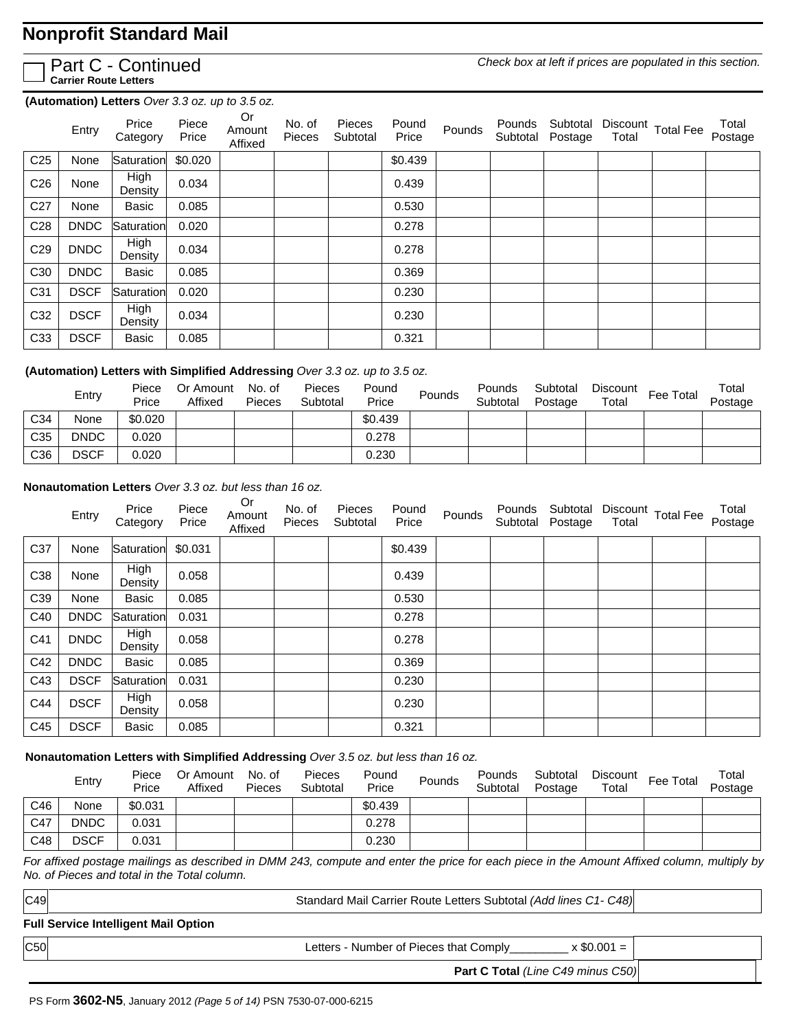

Part C - Continued **Carrier Route Letters**

*Check box at left if prices are populated in this section.*

**(Automation) Letters** *Over 3.3 oz. up to 3.5 oz.*

|                 | Entry       | Price<br>Category      | Piece<br>Price | Or<br>Amount<br>Affixed | No. of<br>Pieces | Pieces<br>Subtotal | Pound<br>Price | Pounds | Pounds<br>Subtotal | Subtotal<br>Postage | Total | Discount Total Fee | Total<br>Postage |
|-----------------|-------------|------------------------|----------------|-------------------------|------------------|--------------------|----------------|--------|--------------------|---------------------|-------|--------------------|------------------|
| C <sub>25</sub> | None        | Saturation             | \$0.020        |                         |                  |                    | \$0.439        |        |                    |                     |       |                    |                  |
| C <sub>26</sub> | None        | <b>High</b><br>Density | 0.034          |                         |                  |                    | 0.439          |        |                    |                     |       |                    |                  |
| C <sub>27</sub> | None        | Basic                  | 0.085          |                         |                  |                    | 0.530          |        |                    |                     |       |                    |                  |
| C <sub>28</sub> | <b>DNDC</b> | Saturation             | 0.020          |                         |                  |                    | 0.278          |        |                    |                     |       |                    |                  |
| C <sub>29</sub> | <b>DNDC</b> | <b>High</b><br>Density | 0.034          |                         |                  |                    | 0.278          |        |                    |                     |       |                    |                  |
| C <sub>30</sub> | <b>DNDC</b> | Basic                  | 0.085          |                         |                  |                    | 0.369          |        |                    |                     |       |                    |                  |
| C31             | <b>DSCF</b> | Saturation             | 0.020          |                         |                  |                    | 0.230          |        |                    |                     |       |                    |                  |
| C32             | <b>DSCF</b> | High<br>Density        | 0.034          |                         |                  |                    | 0.230          |        |                    |                     |       |                    |                  |
| C33             | <b>DSCF</b> | Basic                  | 0.085          |                         |                  |                    | 0.321          |        |                    |                     |       |                    |                  |

#### **(Automation) Letters with Simplified Addressing** *Over 3.3 oz. up to 3.5 oz.*

|                 | Entry       | Piece<br>Price | Or Amount<br>Affixed | No. of<br>Pieces | Pieces<br>Subtotal | Pound<br>Price | Pounds | Pounds<br>Subtotal | Subtotal<br>Postage | Discount<br>Total | Fee Total | Total<br>Postage |
|-----------------|-------------|----------------|----------------------|------------------|--------------------|----------------|--------|--------------------|---------------------|-------------------|-----------|------------------|
| C <sub>34</sub> | None        | \$0.020        |                      |                  |                    | \$0.439        |        |                    |                     |                   |           |                  |
| C <sub>35</sub> | <b>DNDC</b> | 0.020          |                      |                  |                    | 0.278          |        |                    |                     |                   |           |                  |
| C36             | <b>DSCF</b> | 0.020          |                      |                  |                    | 0.230          |        |                    |                     |                   |           |                  |

#### **Nonautomation Letters** *Over 3.3 oz. but less than 16 oz.*

|     | Entry       | Price<br>Category      | Piece<br>Price | Or<br>Amount<br>Affixed | No. of<br>Pieces | Pieces<br>Subtotal | Pound<br>Price | Pounds | Pounds<br>Subtotal | Subtotal<br>Postage | Total | Discount Total Fee | Total<br>Postage |
|-----|-------------|------------------------|----------------|-------------------------|------------------|--------------------|----------------|--------|--------------------|---------------------|-------|--------------------|------------------|
| C37 | None        | Saturation             | \$0.031        |                         |                  |                    | \$0.439        |        |                    |                     |       |                    |                  |
| C38 | None        | <b>High</b><br>Density | 0.058          |                         |                  |                    | 0.439          |        |                    |                     |       |                    |                  |
| C39 | None        | Basic                  | 0.085          |                         |                  |                    | 0.530          |        |                    |                     |       |                    |                  |
| C40 | <b>DNDC</b> | Saturation             | 0.031          |                         |                  |                    | 0.278          |        |                    |                     |       |                    |                  |
| C41 | <b>DNDC</b> | <b>High</b><br>Density | 0.058          |                         |                  |                    | 0.278          |        |                    |                     |       |                    |                  |
| C42 | <b>DNDC</b> | <b>Basic</b>           | 0.085          |                         |                  |                    | 0.369          |        |                    |                     |       |                    |                  |
| C43 | <b>DSCF</b> | Saturation             | 0.031          |                         |                  |                    | 0.230          |        |                    |                     |       |                    |                  |
| C44 | <b>DSCF</b> | <b>High</b><br>Density | 0.058          |                         |                  |                    | 0.230          |        |                    |                     |       |                    |                  |
| C45 | <b>DSCF</b> | <b>Basic</b>           | 0.085          |                         |                  |                    | 0.321          |        |                    |                     |       |                    |                  |

#### **Nonautomation Letters with Simplified Addressing** *Over 3.5 oz. but less than 16 oz.*

|     | Entry       | Piece<br>Price | Or Amount<br>Affixed | No. of<br>Pieces | <b>Pieces</b><br>Subtotal | Pound<br>Price | Pounds | Pounds<br>Subtotal | Subtotal<br>Postage | Discount<br>Total | Fee Total | Total<br>Postage |
|-----|-------------|----------------|----------------------|------------------|---------------------------|----------------|--------|--------------------|---------------------|-------------------|-----------|------------------|
| C46 | None        | \$0.031        |                      |                  |                           | \$0.439        |        |                    |                     |                   |           |                  |
| C47 | <b>DNDC</b> | 0.031          |                      |                  |                           | 0.278          |        |                    |                     |                   |           |                  |
| C48 | <b>DSCF</b> | 0.031          |                      |                  |                           | 0.230          |        |                    |                     |                   |           |                  |

*For affixed postage mailings as described in DMM 243, compute and enter the price for each piece in the Amount Affixed column, multiply by No. of Pieces and total in the Total column.* 

Standard Mail Carrier Route Letters Subtotal *(Add lines C1- C48)*

#### **Full Service Intelligent Mail Option**

 $|C49|$ 

| C50 | $.0001 =$<br>Letters - Number of Pieces that Comply_ |  |
|-----|------------------------------------------------------|--|
|-----|------------------------------------------------------|--|

**Part C Total** *(Line C49 minus C50)*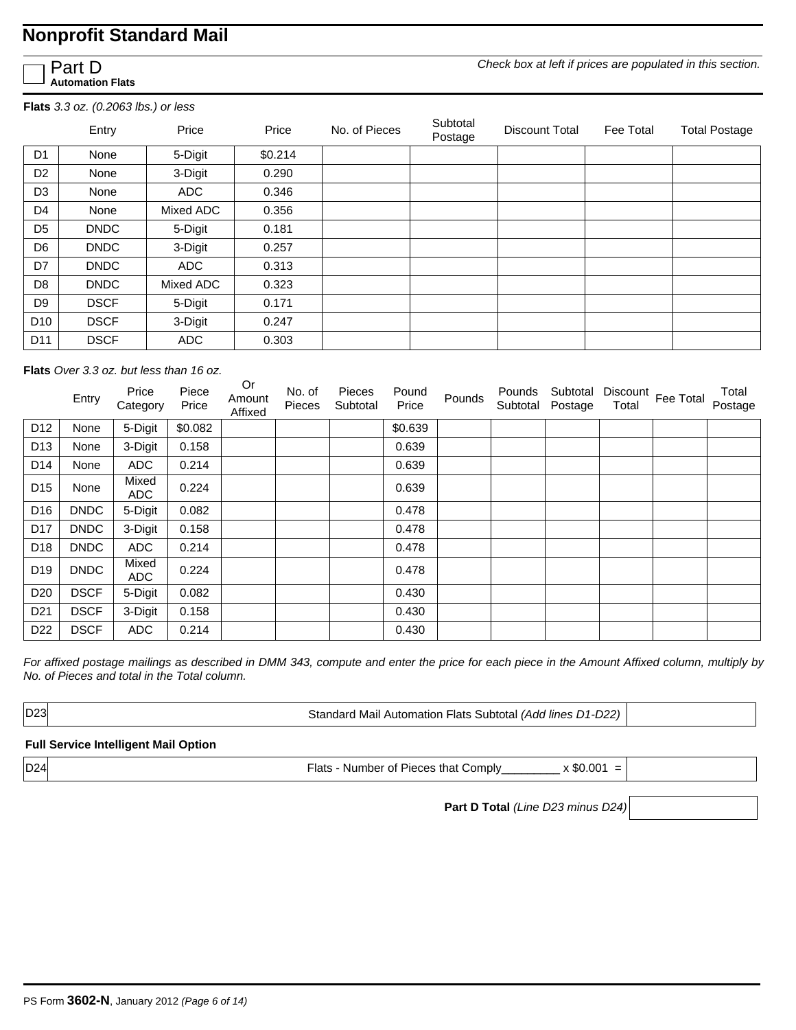Part D **Automation Flats**

**Flats** *3.3 oz. (0.2063 lbs.) or less* 

|                 | Entry       | Price      | Price   | No. of Pieces | Subtotal<br>Postage | Discount Total | Fee Total | <b>Total Postage</b> |
|-----------------|-------------|------------|---------|---------------|---------------------|----------------|-----------|----------------------|
| D <sub>1</sub>  | None        | 5-Digit    | \$0.214 |               |                     |                |           |                      |
| D <sub>2</sub>  | None        | 3-Digit    | 0.290   |               |                     |                |           |                      |
| D <sub>3</sub>  | None        | <b>ADC</b> | 0.346   |               |                     |                |           |                      |
| D <sub>4</sub>  | None        | Mixed ADC  | 0.356   |               |                     |                |           |                      |
| D <sub>5</sub>  | <b>DNDC</b> | 5-Digit    | 0.181   |               |                     |                |           |                      |
| D <sub>6</sub>  | <b>DNDC</b> | 3-Digit    | 0.257   |               |                     |                |           |                      |
| D7              | <b>DNDC</b> | <b>ADC</b> | 0.313   |               |                     |                |           |                      |
| D <sub>8</sub>  | <b>DNDC</b> | Mixed ADC  | 0.323   |               |                     |                |           |                      |
| D <sub>9</sub>  | <b>DSCF</b> | 5-Digit    | 0.171   |               |                     |                |           |                      |
| D <sub>10</sub> | <b>DSCF</b> | 3-Digit    | 0.247   |               |                     |                |           |                      |
| D <sub>11</sub> | <b>DSCF</b> | <b>ADC</b> | 0.303   |               |                     |                |           |                      |

**Flats** *Over 3.3 oz. but less than 16 oz.* 

|                 | Entry       | Price<br>Category   | Piece<br>Price | Or<br>Amount<br>Affixed | No. of<br>Pieces | Pieces<br>Subtotal | Pound<br>Price | Pounds | Pounds<br>Subtotal | Subtotal<br>Postage | Total | Discount Fee Total | Total<br>Postage |
|-----------------|-------------|---------------------|----------------|-------------------------|------------------|--------------------|----------------|--------|--------------------|---------------------|-------|--------------------|------------------|
| D <sub>12</sub> | None        | 5-Digit             | \$0.082        |                         |                  |                    | \$0.639        |        |                    |                     |       |                    |                  |
| D <sub>13</sub> | None        | 3-Digit             | 0.158          |                         |                  |                    | 0.639          |        |                    |                     |       |                    |                  |
| D <sub>14</sub> | None        | <b>ADC</b>          | 0.214          |                         |                  |                    | 0.639          |        |                    |                     |       |                    |                  |
| D <sub>15</sub> | None        | Mixed<br><b>ADC</b> | 0.224          |                         |                  |                    | 0.639          |        |                    |                     |       |                    |                  |
| D <sub>16</sub> | <b>DNDC</b> | 5-Digit             | 0.082          |                         |                  |                    | 0.478          |        |                    |                     |       |                    |                  |
| D <sub>17</sub> | <b>DNDC</b> | 3-Digit             | 0.158          |                         |                  |                    | 0.478          |        |                    |                     |       |                    |                  |
| D <sub>18</sub> | <b>DNDC</b> | <b>ADC</b>          | 0.214          |                         |                  |                    | 0.478          |        |                    |                     |       |                    |                  |
| D19             | <b>DNDC</b> | Mixed<br>ADC.       | 0.224          |                         |                  |                    | 0.478          |        |                    |                     |       |                    |                  |
| D <sub>20</sub> | <b>DSCF</b> | 5-Digit             | 0.082          |                         |                  |                    | 0.430          |        |                    |                     |       |                    |                  |
| D <sub>21</sub> | <b>DSCF</b> | 3-Digit             | 0.158          |                         |                  |                    | 0.430          |        |                    |                     |       |                    |                  |
| D <sub>22</sub> | <b>DSCF</b> | <b>ADC</b>          | 0.214          |                         |                  |                    | 0.430          |        |                    |                     |       |                    |                  |

*For affixed postage mailings as described in DMM 343, compute and enter the price for each piece in the Amount Affixed column, multiply by No. of Pieces and total in the Total column.* 

D23 Standard Mail Automation Flats Subtotal *(Add lines D1-D22)*

#### **Full Service Intelligent Mail Option**

D24 Flats - Number of Pieces that Comply\_\_\_\_\_\_\_\_\_\_\_ x \$0.001 =

**Part D Total** *(Line D23 minus D24)*

*Check box at left if prices are populated in this section.*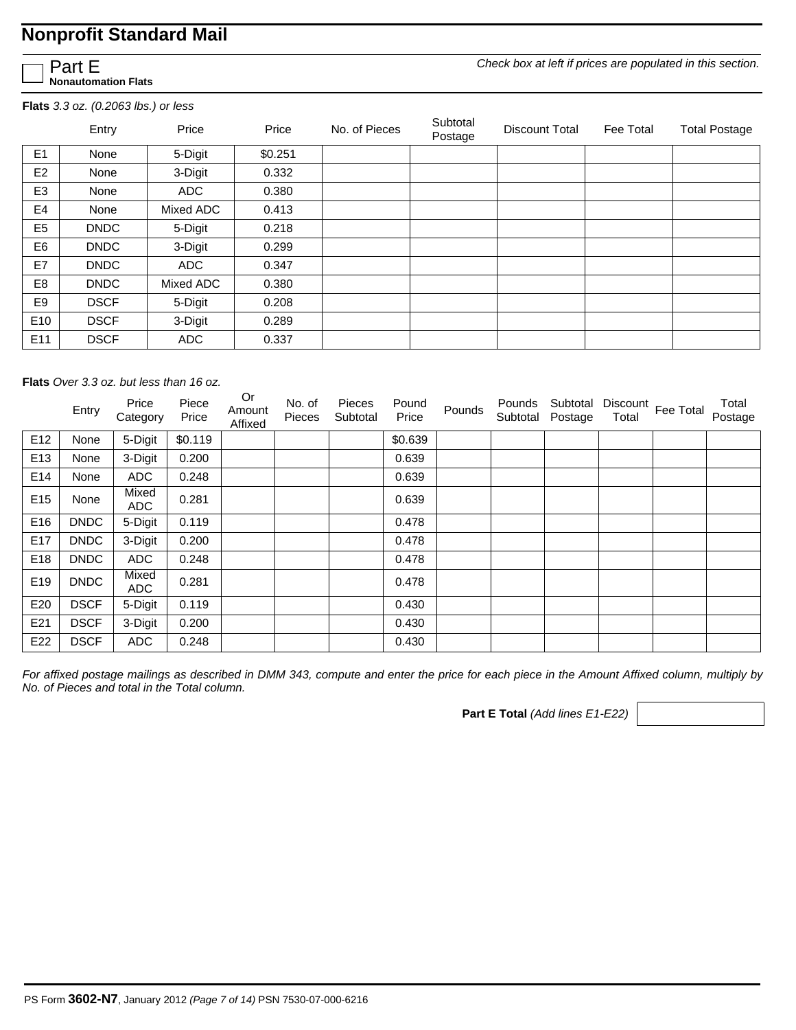*Check box at left if prices are populated in this section.*

Part E **Nonautomation Flats**

**Flats** *3.3 oz. (0.2063 lbs.) or less* 

|                 | Entry       | Price      | Price   | No. of Pieces | Subtotal<br>Postage | <b>Discount Total</b> | Fee Total | <b>Total Postage</b> |
|-----------------|-------------|------------|---------|---------------|---------------------|-----------------------|-----------|----------------------|
| E <sub>1</sub>  | None        | 5-Digit    | \$0.251 |               |                     |                       |           |                      |
| E <sub>2</sub>  | None        | 3-Digit    | 0.332   |               |                     |                       |           |                      |
| E <sub>3</sub>  | None        | ADC        | 0.380   |               |                     |                       |           |                      |
| E4              | None        | Mixed ADC  | 0.413   |               |                     |                       |           |                      |
| E <sub>5</sub>  | <b>DNDC</b> | 5-Digit    | 0.218   |               |                     |                       |           |                      |
| E <sub>6</sub>  | <b>DNDC</b> | 3-Digit    | 0.299   |               |                     |                       |           |                      |
| E7              | <b>DNDC</b> | <b>ADC</b> | 0.347   |               |                     |                       |           |                      |
| E <sub>8</sub>  | <b>DNDC</b> | Mixed ADC  | 0.380   |               |                     |                       |           |                      |
| E9              | <b>DSCF</b> | 5-Digit    | 0.208   |               |                     |                       |           |                      |
| E <sub>10</sub> | <b>DSCF</b> | 3-Digit    | 0.289   |               |                     |                       |           |                      |
| E <sub>11</sub> | <b>DSCF</b> | <b>ADC</b> | 0.337   |               |                     |                       |           |                      |

**Flats** *Over 3.3 oz. but less than 16 oz.* 

|                 | Entry       | Price<br>Category | Piece<br>Price | Or<br>Amount<br>Affixed | No. of<br>Pieces | Pieces<br>Subtotal | Pound<br>Price | Pounds | Pounds<br>Subtotal | Subtotal<br>Postage | Total | Discount Fee Total | Total<br>Postage |
|-----------------|-------------|-------------------|----------------|-------------------------|------------------|--------------------|----------------|--------|--------------------|---------------------|-------|--------------------|------------------|
| E12             | None        | 5-Digit           | \$0.119        |                         |                  |                    | \$0.639        |        |                    |                     |       |                    |                  |
| E <sub>13</sub> | None        | 3-Digit           | 0.200          |                         |                  |                    | 0.639          |        |                    |                     |       |                    |                  |
| E14             | None        | <b>ADC</b>        | 0.248          |                         |                  |                    | 0.639          |        |                    |                     |       |                    |                  |
| E <sub>15</sub> | None        | Mixed<br>ADC      | 0.281          |                         |                  |                    | 0.639          |        |                    |                     |       |                    |                  |
| E16             | <b>DNDC</b> | 5-Digit           | 0.119          |                         |                  |                    | 0.478          |        |                    |                     |       |                    |                  |
| E17             | <b>DNDC</b> | 3-Digit           | 0.200          |                         |                  |                    | 0.478          |        |                    |                     |       |                    |                  |
| E18             | <b>DNDC</b> | <b>ADC</b>        | 0.248          |                         |                  |                    | 0.478          |        |                    |                     |       |                    |                  |
| E19             | <b>DNDC</b> | Mixed<br>ADC      | 0.281          |                         |                  |                    | 0.478          |        |                    |                     |       |                    |                  |
| E20             | <b>DSCF</b> | 5-Digit           | 0.119          |                         |                  |                    | 0.430          |        |                    |                     |       |                    |                  |
| E21             | <b>DSCF</b> | 3-Digit           | 0.200          |                         |                  |                    | 0.430          |        |                    |                     |       |                    |                  |
| E22             | <b>DSCF</b> | <b>ADC</b>        | 0.248          |                         |                  |                    | 0.430          |        |                    |                     |       |                    |                  |

*For affixed postage mailings as described in DMM 343, compute and enter the price for each piece in the Amount Affixed column, multiply by No. of Pieces and total in the Total column.* 

**Part E Total** *(Add lines E1-E22)*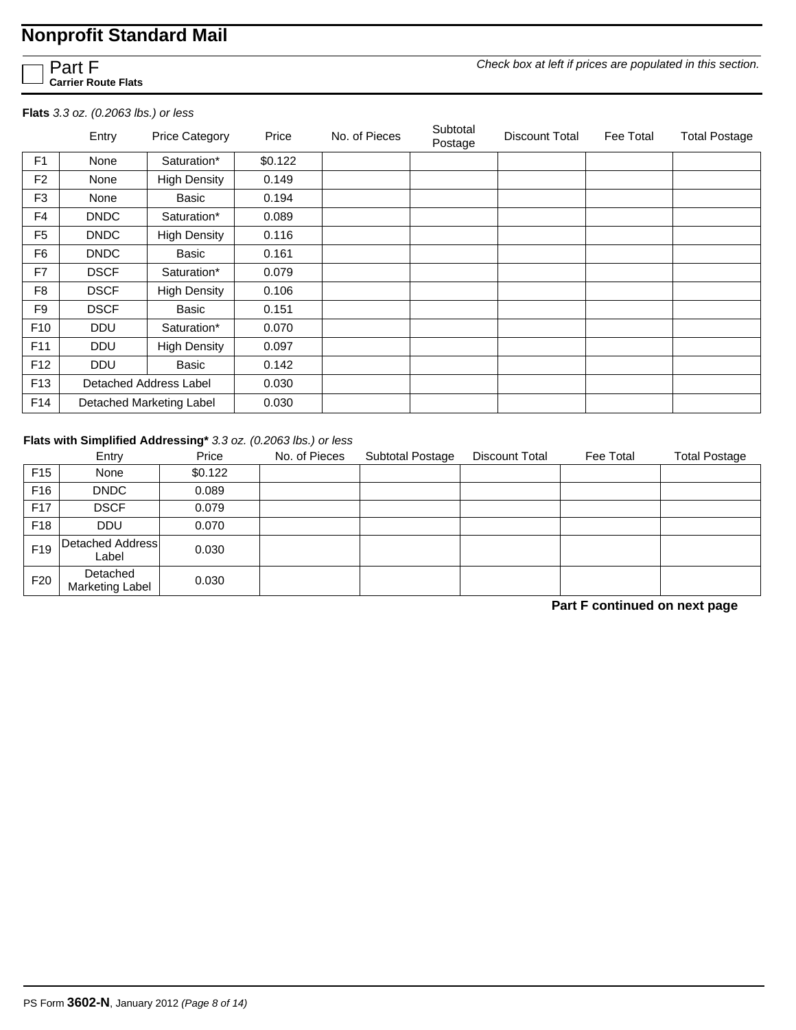Part F **Carrier Route Flats**

**Flats** *3.3 oz. (0.2063 lbs.) or less* 

|                 | Entry       | <b>Price Category</b>    | Price   | No. of Pieces | Subtotal<br>Postage | Discount Total | Fee Total | <b>Total Postage</b> |
|-----------------|-------------|--------------------------|---------|---------------|---------------------|----------------|-----------|----------------------|
| F1              | None        | Saturation*              | \$0.122 |               |                     |                |           |                      |
| F <sub>2</sub>  | None        | <b>High Density</b>      | 0.149   |               |                     |                |           |                      |
| F <sub>3</sub>  | None        | Basic                    | 0.194   |               |                     |                |           |                      |
| F4              | <b>DNDC</b> | Saturation*              | 0.089   |               |                     |                |           |                      |
| F <sub>5</sub>  | <b>DNDC</b> | <b>High Density</b>      | 0.116   |               |                     |                |           |                      |
| F6              | <b>DNDC</b> | Basic                    | 0.161   |               |                     |                |           |                      |
| F7              | <b>DSCF</b> | Saturation*              | 0.079   |               |                     |                |           |                      |
| F <sub>8</sub>  | <b>DSCF</b> | <b>High Density</b>      | 0.106   |               |                     |                |           |                      |
| F <sub>9</sub>  | <b>DSCF</b> | Basic                    | 0.151   |               |                     |                |           |                      |
| F <sub>10</sub> | <b>DDU</b>  | Saturation*              | 0.070   |               |                     |                |           |                      |
| F <sub>11</sub> | <b>DDU</b>  | <b>High Density</b>      | 0.097   |               |                     |                |           |                      |
| F12             | <b>DDU</b>  | Basic                    | 0.142   |               |                     |                |           |                      |
| F <sub>13</sub> |             | Detached Address Label   | 0.030   |               |                     |                |           |                      |
| F14             |             | Detached Marketing Label | 0.030   |               |                     |                |           |                      |

#### **Flats with Simplified Addressing\*** *3.3 oz. (0.2063 lbs.) or less*

|                 | Entry                              | Price   | No. of Pieces | <b>Subtotal Postage</b> | <b>Discount Total</b> | Fee Total | <b>Total Postage</b> |
|-----------------|------------------------------------|---------|---------------|-------------------------|-----------------------|-----------|----------------------|
| F <sub>15</sub> | None                               | \$0.122 |               |                         |                       |           |                      |
| F <sub>16</sub> | <b>DNDC</b>                        | 0.089   |               |                         |                       |           |                      |
| F <sub>17</sub> | <b>DSCF</b>                        | 0.079   |               |                         |                       |           |                      |
| F <sub>18</sub> | <b>DDU</b>                         | 0.070   |               |                         |                       |           |                      |
| F <sub>19</sub> | Detached Address<br>Label          | 0.030   |               |                         |                       |           |                      |
| F <sub>20</sub> | Detached<br><b>Marketing Label</b> | 0.030   |               |                         |                       |           |                      |

**Part F continued on next page**

*Check box at left if prices are populated in this section.*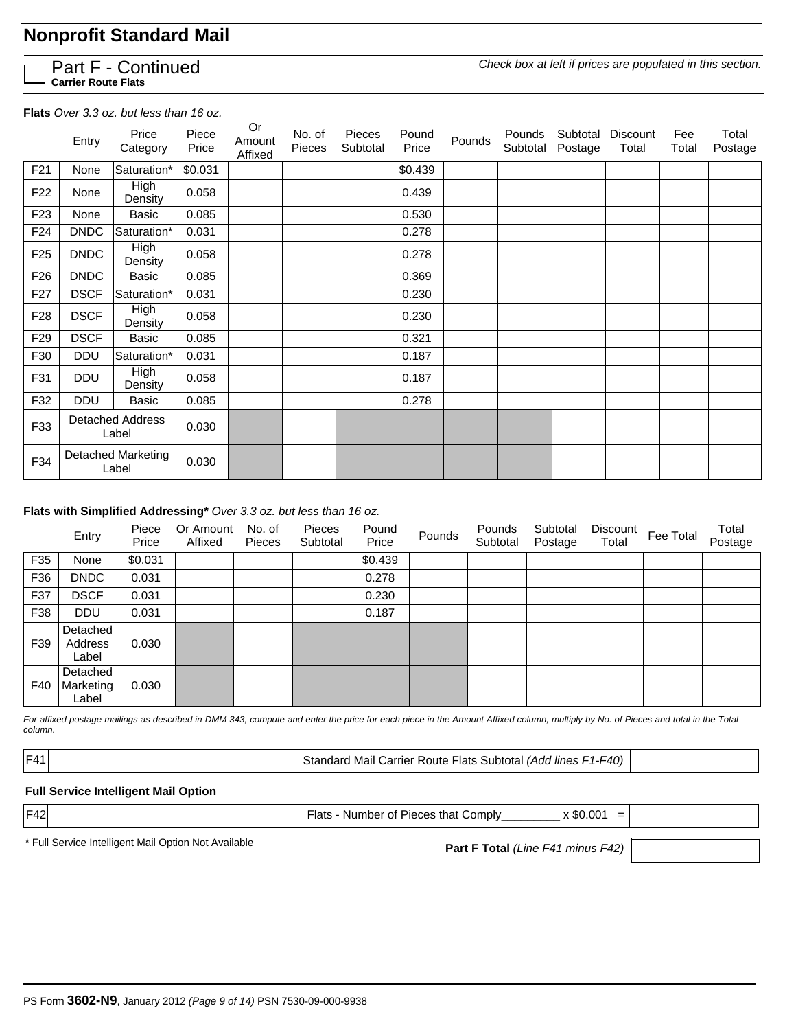|  | <b>J</b> Part F - Continued<br>Carrier Route Flats |
|--|----------------------------------------------------|
|  |                                                    |

*Check box at left if prices are populated in this section.*

**Flats** *Over 3.3 oz. but less than 16 oz.*

|                 | Entry       | Price<br>Category                | Piece<br>Price | Or<br>Amount<br>Affixed | No. of<br>Pieces | Pieces<br>Subtotal | Pound<br>Price | Pounds | Pounds<br>Subtotal | Subtotal<br>Postage | Discount<br>Total | Fee<br>Total | Total<br>Postage |
|-----------------|-------------|----------------------------------|----------------|-------------------------|------------------|--------------------|----------------|--------|--------------------|---------------------|-------------------|--------------|------------------|
| F <sub>21</sub> | None        | Saturation*                      | \$0.031        |                         |                  |                    | \$0.439        |        |                    |                     |                   |              |                  |
| F <sub>22</sub> | None        | High<br>Density                  | 0.058          |                         |                  |                    | 0.439          |        |                    |                     |                   |              |                  |
| F <sub>23</sub> | None        | Basic                            | 0.085          |                         |                  |                    | 0.530          |        |                    |                     |                   |              |                  |
| F <sub>24</sub> | <b>DNDC</b> | Saturation*                      | 0.031          |                         |                  |                    | 0.278          |        |                    |                     |                   |              |                  |
| F <sub>25</sub> | <b>DNDC</b> | High<br>Density                  | 0.058          |                         |                  |                    | 0.278          |        |                    |                     |                   |              |                  |
| F <sub>26</sub> | <b>DNDC</b> | Basic                            | 0.085          |                         |                  |                    | 0.369          |        |                    |                     |                   |              |                  |
| F <sub>27</sub> | <b>DSCF</b> | Saturation*                      | 0.031          |                         |                  |                    | 0.230          |        |                    |                     |                   |              |                  |
| F <sub>28</sub> | <b>DSCF</b> | High<br>Density                  | 0.058          |                         |                  |                    | 0.230          |        |                    |                     |                   |              |                  |
| F <sub>29</sub> | <b>DSCF</b> | Basic                            | 0.085          |                         |                  |                    | 0.321          |        |                    |                     |                   |              |                  |
| F30             | DDU         | Saturation*                      | 0.031          |                         |                  |                    | 0.187          |        |                    |                     |                   |              |                  |
| F31             | DDU         | <b>High</b><br>Density           | 0.058          |                         |                  |                    | 0.187          |        |                    |                     |                   |              |                  |
| F32             | DDU         | Basic                            | 0.085          |                         |                  |                    | 0.278          |        |                    |                     |                   |              |                  |
| F33             |             | <b>Detached Address</b><br>Label | 0.030          |                         |                  |                    |                |        |                    |                     |                   |              |                  |
| F34             |             | Detached Marketing<br>Label      | 0.030          |                         |                  |                    |                |        |                    |                     |                   |              |                  |

#### **Flats with Simplified Addressing\*** *Over 3.3 oz. but less than 16 oz.*

|     | Entry                          | Piece<br>Price | Or Amount<br>Affixed | No. of<br>Pieces | <b>Pieces</b><br>Subtotal | Pound<br>Price | Pounds | Pounds<br>Subtotal | Subtotal<br>Postage | Discount<br>Total | Fee Total | Total<br>Postage |
|-----|--------------------------------|----------------|----------------------|------------------|---------------------------|----------------|--------|--------------------|---------------------|-------------------|-----------|------------------|
| F35 | None                           | \$0.031        |                      |                  |                           | \$0.439        |        |                    |                     |                   |           |                  |
| F36 | <b>DNDC</b>                    | 0.031          |                      |                  |                           | 0.278          |        |                    |                     |                   |           |                  |
| F37 | <b>DSCF</b>                    | 0.031          |                      |                  |                           | 0.230          |        |                    |                     |                   |           |                  |
| F38 | <b>DDU</b>                     | 0.031          |                      |                  |                           | 0.187          |        |                    |                     |                   |           |                  |
| F39 | Detached<br>Address<br>Label   | 0.030          |                      |                  |                           |                |        |                    |                     |                   |           |                  |
| F40 | Detached<br>Marketing<br>Label | 0.030          |                      |                  |                           |                |        |                    |                     |                   |           |                  |

*For affixed postage mailings as described in DMM 343, compute and enter the price for each piece in the Amount Affixed column, multiply by No. of Pieces and total in the Total column.*

F41 Standard Mail Carrier Route Flats Subtotal *(Add lines F1-F40)*

#### **Full Service Intelligent Mail Option**

 $|F42|$  x \$0.001 =

**Part F Total** *(Line F41 minus F42)* \* Full Service Intelligent Mail Option Not Available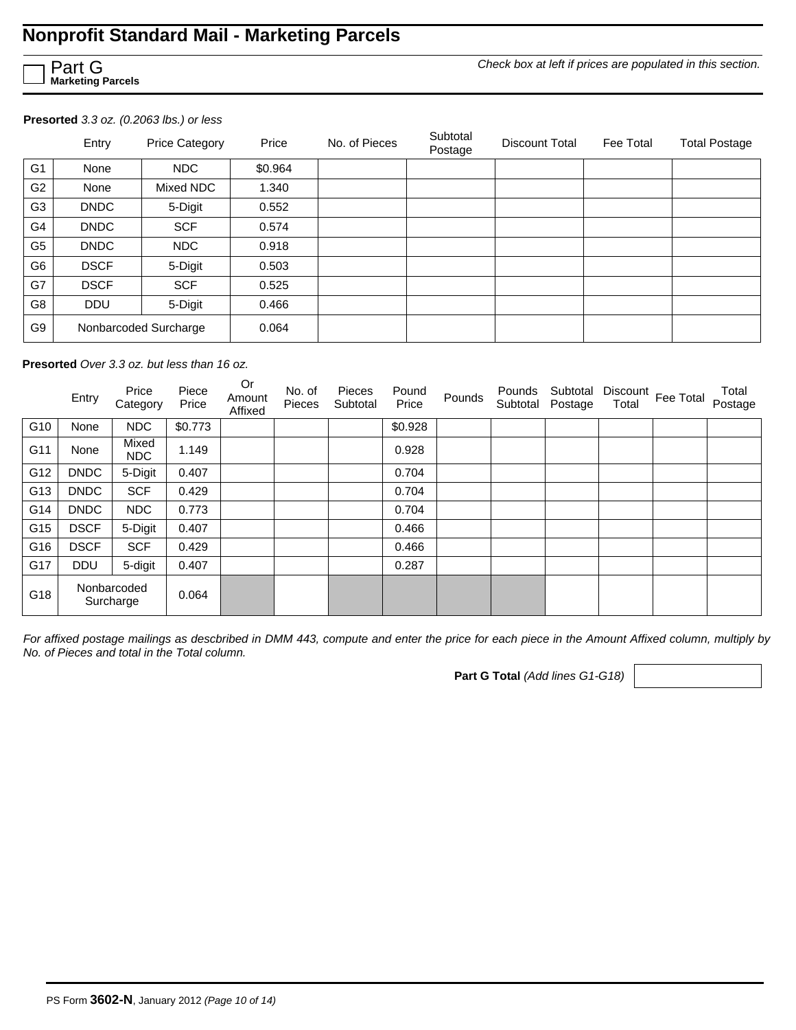## **Nonprofit Standard Mail - Marketing Parcels**

Part G **Marketing Parcels**

*Check box at left if prices are populated in this section.*

**Presorted** *3.3 oz. (0.2063 lbs.) or less* 

|                | Entry       | <b>Price Category</b> | Price   | No. of Pieces | Subtotal<br>Postage | Discount Total | Fee Total | <b>Total Postage</b> |
|----------------|-------------|-----------------------|---------|---------------|---------------------|----------------|-----------|----------------------|
| G <sub>1</sub> | None        | NDC                   | \$0.964 |               |                     |                |           |                      |
| G <sub>2</sub> | None        | Mixed NDC             | 1.340   |               |                     |                |           |                      |
| G <sub>3</sub> | <b>DNDC</b> | 5-Digit               | 0.552   |               |                     |                |           |                      |
| G <sub>4</sub> | <b>DNDC</b> | <b>SCF</b>            | 0.574   |               |                     |                |           |                      |
| G <sub>5</sub> | <b>DNDC</b> | NDC                   | 0.918   |               |                     |                |           |                      |
| G <sub>6</sub> | <b>DSCF</b> | 5-Digit               | 0.503   |               |                     |                |           |                      |
| G7             | <b>DSCF</b> | <b>SCF</b>            | 0.525   |               |                     |                |           |                      |
| G8             | <b>DDU</b>  | 5-Digit               | 0.466   |               |                     |                |           |                      |
| G9             |             | Nonbarcoded Surcharge | 0.064   |               |                     |                |           |                      |

**Presorted** *Over 3.3 oz. but less than 16 oz.* 

|     | Entry       | Price<br>Category        | Piece<br>Price | Or<br>Amount<br>Affixed | No. of<br>Pieces | Pieces<br>Subtotal | Pound<br>Price | Pounds | Pounds<br>Subtotal | Subtotal<br>Postage | Total | Discount Fee Total | Total<br>Postage |
|-----|-------------|--------------------------|----------------|-------------------------|------------------|--------------------|----------------|--------|--------------------|---------------------|-------|--------------------|------------------|
| G10 | None        | NDC                      | \$0.773        |                         |                  |                    | \$0.928        |        |                    |                     |       |                    |                  |
| G11 | None        | Mixed<br>NDC             | 1.149          |                         |                  |                    | 0.928          |        |                    |                     |       |                    |                  |
| G12 | <b>DNDC</b> | 5-Digit                  | 0.407          |                         |                  |                    | 0.704          |        |                    |                     |       |                    |                  |
| G13 | <b>DNDC</b> | <b>SCF</b>               | 0.429          |                         |                  |                    | 0.704          |        |                    |                     |       |                    |                  |
| G14 | <b>DNDC</b> | NDC                      | 0.773          |                         |                  |                    | 0.704          |        |                    |                     |       |                    |                  |
| G15 | <b>DSCF</b> | 5-Digit                  | 0.407          |                         |                  |                    | 0.466          |        |                    |                     |       |                    |                  |
| G16 | <b>DSCF</b> | <b>SCF</b>               | 0.429          |                         |                  |                    | 0.466          |        |                    |                     |       |                    |                  |
| G17 | <b>DDU</b>  | 5-digit                  | 0.407          |                         |                  |                    | 0.287          |        |                    |                     |       |                    |                  |
| G18 |             | Nonbarcoded<br>Surcharge | 0.064          |                         |                  |                    |                |        |                    |                     |       |                    |                  |

*For affixed postage mailings as descbribed in DMM 443, compute and enter the price for each piece in the Amount Affixed column, multiply by No. of Pieces and total in the Total column.* 

**Part G Total** *(Add lines G1-G18)*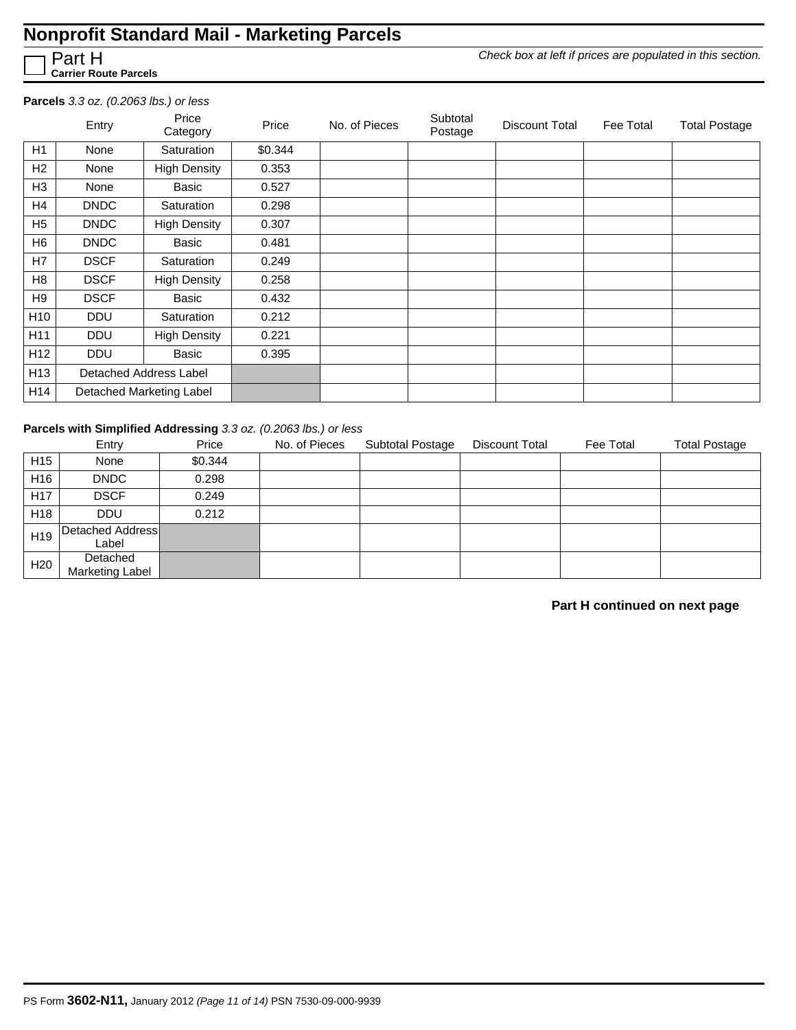### **Nonprofit Standard Mail - Marketing Parcels**

*Check box at left if prices are populated in this section.*

Part H **Carrier Route Parcels**

#### **Parcels** *3.3 oz. (0.2063 lbs.) or less*

|                 | Entry                  | Price<br>Category        | Price   | No. of Pieces | Subtotal<br>Postage | Discount Total | Fee Total | <b>Total Postage</b> |
|-----------------|------------------------|--------------------------|---------|---------------|---------------------|----------------|-----------|----------------------|
| H1              | None                   | Saturation               | \$0.344 |               |                     |                |           |                      |
| H2              | None                   | <b>High Density</b>      | 0.353   |               |                     |                |           |                      |
| H <sub>3</sub>  | None                   | Basic                    | 0.527   |               |                     |                |           |                      |
| H4              | DNDC                   | Saturation               | 0.298   |               |                     |                |           |                      |
| H <sub>5</sub>  | <b>DNDC</b>            | <b>High Density</b>      | 0.307   |               |                     |                |           |                      |
| H <sub>6</sub>  | <b>DNDC</b>            | Basic                    | 0.481   |               |                     |                |           |                      |
| H7              | <b>DSCF</b>            | Saturation               | 0.249   |               |                     |                |           |                      |
| H <sub>8</sub>  | <b>DSCF</b>            | <b>High Density</b>      | 0.258   |               |                     |                |           |                      |
| H9              | <b>DSCF</b>            | Basic                    | 0.432   |               |                     |                |           |                      |
| H <sub>10</sub> | <b>DDU</b>             | Saturation               | 0.212   |               |                     |                |           |                      |
| H11             | <b>DDU</b>             | <b>High Density</b>      | 0.221   |               |                     |                |           |                      |
| H <sub>12</sub> | <b>DDU</b>             | Basic                    | 0.395   |               |                     |                |           |                      |
| H <sub>13</sub> | Detached Address Label |                          |         |               |                     |                |           |                      |
| H <sub>14</sub> |                        | Detached Marketing Label |         |               |                     |                |           |                      |

#### **Parcels with Simplified Addressing** *3.3 oz. (0.2063 lbs.) or less*

|                 | Entry                     | Price   | No. of Pieces | <b>Subtotal Postage</b> | <b>Discount Total</b> | Fee Total | <b>Total Postage</b> |
|-----------------|---------------------------|---------|---------------|-------------------------|-----------------------|-----------|----------------------|
| H <sub>15</sub> | None                      | \$0.344 |               |                         |                       |           |                      |
| H <sub>16</sub> | <b>DNDC</b>               | 0.298   |               |                         |                       |           |                      |
| H <sub>17</sub> | <b>DSCF</b>               | 0.249   |               |                         |                       |           |                      |
| H <sub>18</sub> | <b>DDU</b>                | 0.212   |               |                         |                       |           |                      |
| H <sub>19</sub> | Detached Address<br>Label |         |               |                         |                       |           |                      |
| H <sub>20</sub> | Detached                  |         |               |                         |                       |           |                      |
|                 | <b>Marketing Label</b>    |         |               |                         |                       |           |                      |

#### **Part H continued on next page**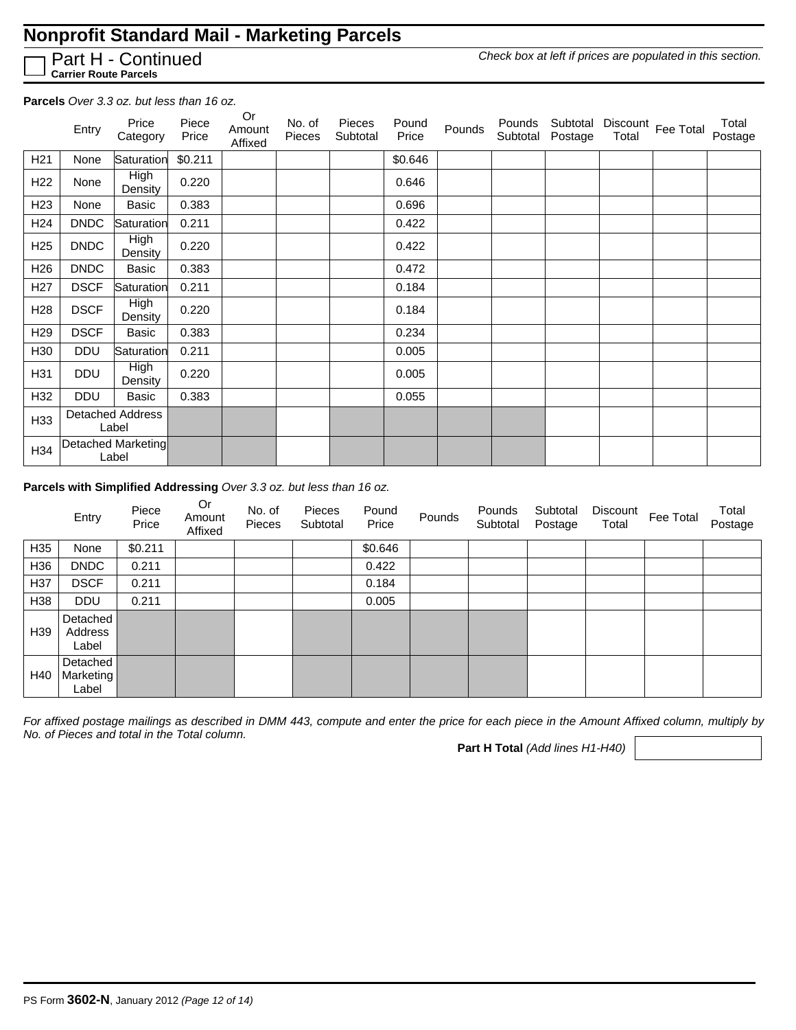## **Nonprofit Standard Mail - Marketing Parcels**

Part H - Continued **Carrier Route Parcels**

*Check box at left if prices are populated in this section.*

**Parcels** *Over 3.3 oz. but less than 16 oz.*

|                 | Entry       | Price<br>Category                | Piece<br>Price | Or<br>Amount<br>Affixed | No. of<br><b>Pieces</b> | Pieces<br>Subtotal | Pound<br>Price | Pounds | Pounds | Subtotal<br>Subtotal Postage | Total | Discount Fee Total | Total<br>Postage |
|-----------------|-------------|----------------------------------|----------------|-------------------------|-------------------------|--------------------|----------------|--------|--------|------------------------------|-------|--------------------|------------------|
| H <sub>21</sub> | None        | Saturation                       | \$0.211        |                         |                         |                    | \$0.646        |        |        |                              |       |                    |                  |
| H <sub>22</sub> | None        | High<br>Density                  | 0.220          |                         |                         |                    | 0.646          |        |        |                              |       |                    |                  |
| H <sub>23</sub> | None        | Basic                            | 0.383          |                         |                         |                    | 0.696          |        |        |                              |       |                    |                  |
| H <sub>24</sub> | <b>DNDC</b> | Saturation                       | 0.211          |                         |                         |                    | 0.422          |        |        |                              |       |                    |                  |
| H <sub>25</sub> | <b>DNDC</b> | <b>High</b><br>Density           | 0.220          |                         |                         |                    | 0.422          |        |        |                              |       |                    |                  |
| H <sub>26</sub> | <b>DNDC</b> | Basic                            | 0.383          |                         |                         |                    | 0.472          |        |        |                              |       |                    |                  |
| H <sub>27</sub> | <b>DSCF</b> | Saturation                       | 0.211          |                         |                         |                    | 0.184          |        |        |                              |       |                    |                  |
| H <sub>28</sub> | <b>DSCF</b> | High<br>Density                  | 0.220          |                         |                         |                    | 0.184          |        |        |                              |       |                    |                  |
| H <sub>29</sub> | <b>DSCF</b> | Basic                            | 0.383          |                         |                         |                    | 0.234          |        |        |                              |       |                    |                  |
| H30             | <b>DDU</b>  | Saturation                       | 0.211          |                         |                         |                    | 0.005          |        |        |                              |       |                    |                  |
| H31             | DDU         | <b>High</b><br>Density           | 0.220          |                         |                         |                    | 0.005          |        |        |                              |       |                    |                  |
| H32             | <b>DDU</b>  | Basic                            | 0.383          |                         |                         |                    | 0.055          |        |        |                              |       |                    |                  |
| H33             |             | <b>Detached Address</b><br>Label |                |                         |                         |                    |                |        |        |                              |       |                    |                  |
| H34             |             | Detached Marketing<br>Label      |                |                         |                         |                    |                |        |        |                              |       |                    |                  |

#### **Parcels with Simplified Addressing** *Over 3.3 oz. but less than 16 oz.*

|                 | Entry                          | Piece<br>Price | <b>Or</b><br>Amount<br>Affixed | No. of<br>Pieces | Pieces<br>Subtotal | Pound<br>Price | Pounds | Pounds<br>Subtotal | Subtotal<br>Postage | Discount<br>Total | Fee Total | Total<br>Postage |
|-----------------|--------------------------------|----------------|--------------------------------|------------------|--------------------|----------------|--------|--------------------|---------------------|-------------------|-----------|------------------|
| H <sub>35</sub> | None                           | \$0.211        |                                |                  |                    | \$0.646        |        |                    |                     |                   |           |                  |
| H36             | <b>DNDC</b>                    | 0.211          |                                |                  |                    | 0.422          |        |                    |                     |                   |           |                  |
| H37             | <b>DSCF</b>                    | 0.211          |                                |                  |                    | 0.184          |        |                    |                     |                   |           |                  |
| H38             | <b>DDU</b>                     | 0.211          |                                |                  |                    | 0.005          |        |                    |                     |                   |           |                  |
| H <sub>39</sub> | Detached<br>Address<br>Label   |                |                                |                  |                    |                |        |                    |                     |                   |           |                  |
| H40             | Detached<br>Marketing<br>Label |                |                                |                  |                    |                |        |                    |                     |                   |           |                  |

*For affixed postage mailings as described in DMM 443, compute and enter the price for each piece in the Amount Affixed column, multiply by No. of Pieces and total in the Total column.* 

**Part H Total** *(Add lines H1-H40)*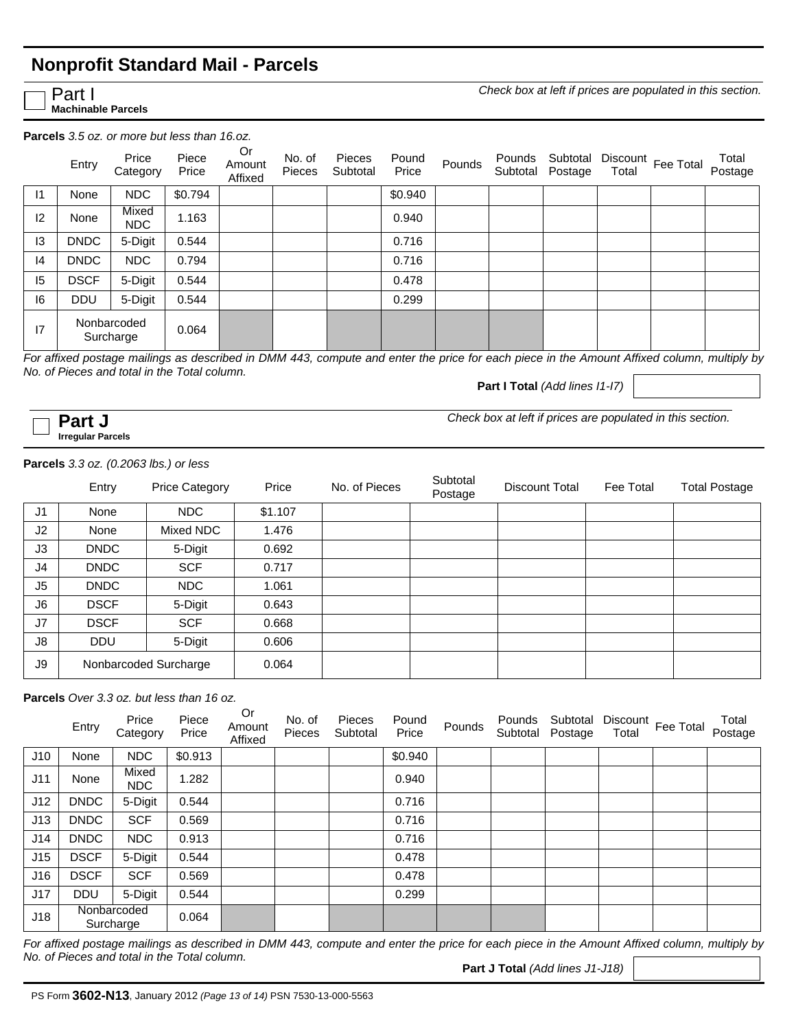### **Nonprofit Standard Mail - Parcels**

Part I

**Machinable Parcels**

*Check box at left if prices are populated in this section.*

**Parcels** *3.5 oz. or more but less than 16.oz.*

|               | Entry       | Price<br>Category        | Piece<br>Price | Or<br>Amount<br>Affixed | No. of<br><b>Pieces</b> | Pieces<br>Subtotal | Pound<br>Price | Pounds | Pounds<br>Subtotal | Subtotal<br>Postage | Discount<br>Total | Fee Total | Total<br>Postage |
|---------------|-------------|--------------------------|----------------|-------------------------|-------------------------|--------------------|----------------|--------|--------------------|---------------------|-------------------|-----------|------------------|
| 1             | None        | <b>NDC</b>               | \$0.794        |                         |                         |                    | \$0.940        |        |                    |                     |                   |           |                  |
| $ 2\rangle$   | None        | Mixed<br><b>NDC</b>      | 1.163          |                         |                         |                    | 0.940          |        |                    |                     |                   |           |                  |
| $\mathsf{I}3$ | <b>DNDC</b> | 5-Digit                  | 0.544          |                         |                         |                    | 0.716          |        |                    |                     |                   |           |                  |
| 4             | <b>DNDC</b> | NDC                      | 0.794          |                         |                         |                    | 0.716          |        |                    |                     |                   |           |                  |
| 15            | <b>DSCF</b> | 5-Digit                  | 0.544          |                         |                         |                    | 0.478          |        |                    |                     |                   |           |                  |
| 16            | <b>DDU</b>  | 5-Digit                  | 0.544          |                         |                         |                    | 0.299          |        |                    |                     |                   |           |                  |
| 17            |             | Nonbarcoded<br>Surcharge | 0.064          |                         |                         |                    |                |        |                    |                     |                   |           |                  |

*For affixed postage mailings as described in DMM 443, compute and enter the price for each piece in the Amount Affixed column, multiply by No. of Pieces and total in the Total column.* 

**Part I Total** *(Add lines I1-I7)*

**Irregular Parcels**

**Part J** *Check box at left if prices are populated in this section.* 

#### **Parcels** *3.3 oz. (0.2063 lbs.) or less*

|                | Entry       | <b>Price Category</b> | Price   | No. of Pieces | Subtotal<br>Postage | Discount Total | Fee Total | <b>Total Postage</b> |
|----------------|-------------|-----------------------|---------|---------------|---------------------|----------------|-----------|----------------------|
| J <sub>1</sub> | None        | NDC                   | \$1.107 |               |                     |                |           |                      |
| J <sub>2</sub> | None        | Mixed NDC             | 1.476   |               |                     |                |           |                      |
| J3             | <b>DNDC</b> | 5-Digit               | 0.692   |               |                     |                |           |                      |
| J <sub>4</sub> | <b>DNDC</b> | <b>SCF</b>            | 0.717   |               |                     |                |           |                      |
| J <sub>5</sub> | <b>DNDC</b> | NDC                   | 1.061   |               |                     |                |           |                      |
| J <sub>6</sub> | <b>DSCF</b> | 5-Digit               | 0.643   |               |                     |                |           |                      |
| J7             | <b>DSCF</b> | <b>SCF</b>            | 0.668   |               |                     |                |           |                      |
| J8             | <b>DDU</b>  | 5-Digit               | 0.606   |               |                     |                |           |                      |
| J9             |             | Nonbarcoded Surcharge | 0.064   |               |                     |                |           |                      |

**Parcels** *Over 3.3 oz. but less than 16 oz.*

|     | Entry       | Price<br>Category        | Piece<br>Price | Or<br>Amount<br>Affixed | No. of<br><b>Pieces</b> | Pieces<br>Subtotal | Pound<br>Price | Pounds | Pounds<br>Subtotal | Subtotal<br>Postage | Total | Discount Fee Total | Total<br>Postage |
|-----|-------------|--------------------------|----------------|-------------------------|-------------------------|--------------------|----------------|--------|--------------------|---------------------|-------|--------------------|------------------|
| J10 | None        | <b>NDC</b>               | \$0.913        |                         |                         |                    | \$0.940        |        |                    |                     |       |                    |                  |
| J11 | None        | Mixed<br>NDC.            | 1.282          |                         |                         |                    | 0.940          |        |                    |                     |       |                    |                  |
| J12 | <b>DNDC</b> | 5-Digit                  | 0.544          |                         |                         |                    | 0.716          |        |                    |                     |       |                    |                  |
| J13 | <b>DNDC</b> | <b>SCF</b>               | 0.569          |                         |                         |                    | 0.716          |        |                    |                     |       |                    |                  |
| J14 | <b>DNDC</b> | <b>NDC</b>               | 0.913          |                         |                         |                    | 0.716          |        |                    |                     |       |                    |                  |
| J15 | <b>DSCF</b> | 5-Digit                  | 0.544          |                         |                         |                    | 0.478          |        |                    |                     |       |                    |                  |
| J16 | <b>DSCF</b> | <b>SCF</b>               | 0.569          |                         |                         |                    | 0.478          |        |                    |                     |       |                    |                  |
| J17 | <b>DDU</b>  | 5-Digit                  | 0.544          |                         |                         |                    | 0.299          |        |                    |                     |       |                    |                  |
| J18 |             | Nonbarcoded<br>Surcharge | 0.064          |                         |                         |                    |                |        |                    |                     |       |                    |                  |

*For affixed postage mailings as described in DMM 443, compute and enter the price for each piece in the Amount Affixed column, multiply by No. of Pieces and total in the Total column.* 

**Part J Total** *(Add lines J1-J18)*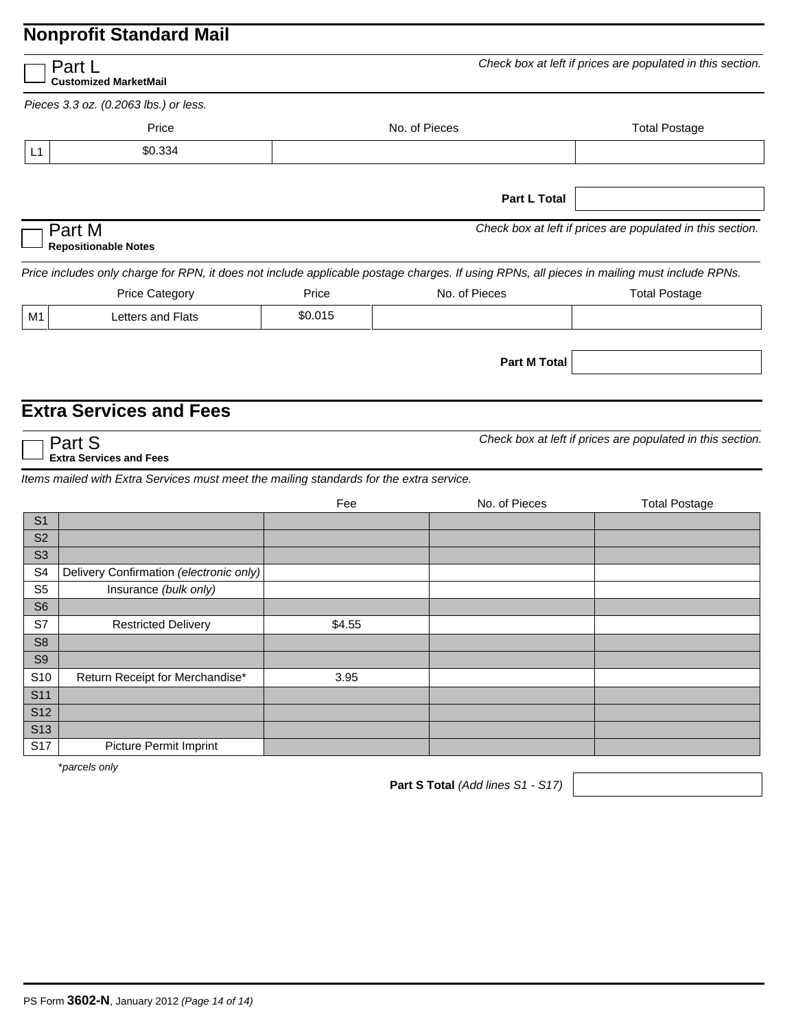|                                  | Part L<br><b>Customized MarketMail</b>                                                                                                      |         |                     | Check box at left if prices are populated in this section. |
|----------------------------------|---------------------------------------------------------------------------------------------------------------------------------------------|---------|---------------------|------------------------------------------------------------|
|                                  | Pieces 3.3 oz. (0.2063 lbs.) or less.                                                                                                       |         |                     |                                                            |
|                                  | Price                                                                                                                                       |         | No. of Pieces       | <b>Total Postage</b>                                       |
| L1                               | \$0.334                                                                                                                                     |         |                     |                                                            |
|                                  |                                                                                                                                             |         |                     |                                                            |
|                                  |                                                                                                                                             |         | <b>Part L Total</b> |                                                            |
|                                  | Part M<br><b>Repositionable Notes</b>                                                                                                       |         |                     | Check box at left if prices are populated in this section. |
|                                  | Price includes only charge for RPN, it does not include applicable postage charges. If using RPNs, all pieces in mailing must include RPNs. |         |                     |                                                            |
|                                  | <b>Price Category</b>                                                                                                                       | Price   | No. of Pieces       | <b>Total Postage</b>                                       |
| M1                               | Letters and Flats                                                                                                                           | \$0.015 |                     |                                                            |
|                                  |                                                                                                                                             |         | <b>Part M Total</b> |                                                            |
|                                  | <b>Extra Services and Fees</b>                                                                                                              |         |                     |                                                            |
|                                  | Part S<br><b>Extra Services and Fees</b>                                                                                                    |         |                     | Check box at left if prices are populated in this section. |
|                                  | Items mailed with Extra Services must meet the mailing standards for the extra service.                                                     |         |                     |                                                            |
|                                  |                                                                                                                                             | Fee     | No. of Pieces       | <b>Total Postage</b>                                       |
| S <sub>1</sub>                   |                                                                                                                                             |         |                     |                                                            |
| S <sub>2</sub>                   |                                                                                                                                             |         |                     |                                                            |
| S <sub>3</sub>                   |                                                                                                                                             |         |                     |                                                            |
| S <sub>4</sub><br>S <sub>5</sub> | Delivery Confirmation (electronic only)<br>Insurance (bulk only)                                                                            |         |                     |                                                            |
| S <sub>6</sub>                   |                                                                                                                                             |         |                     |                                                            |
| S7                               | <b>Restricted Delivery</b>                                                                                                                  | \$4.55  |                     |                                                            |
| S <sub>8</sub>                   |                                                                                                                                             |         |                     |                                                            |
| S <sub>9</sub>                   |                                                                                                                                             |         |                     |                                                            |
| S <sub>10</sub>                  | Return Receipt for Merchandise*                                                                                                             | 3.95    |                     |                                                            |
| <b>S11</b>                       |                                                                                                                                             |         |                     |                                                            |
| <b>S12</b>                       |                                                                                                                                             |         |                     |                                                            |
| <b>S13</b>                       |                                                                                                                                             |         |                     |                                                            |
| S17                              | Picture Permit Imprint                                                                                                                      |         |                     |                                                            |

\**parcels only*

**Part S Total** *(Add lines S1 - S17)*